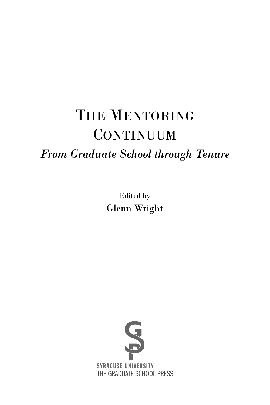# THE MENTORING **CONTINUUM**

# *From Graduate School through Tenure*

Edited by Glenn Wright

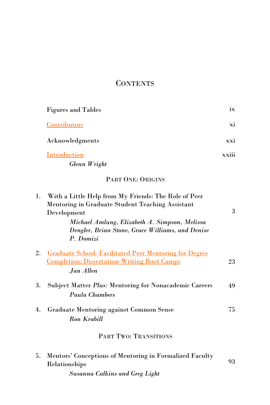# **CONTENTS**

|    | <b>Figures and Tables</b>                                                                                                       | ix    |
|----|---------------------------------------------------------------------------------------------------------------------------------|-------|
|    | Contributors                                                                                                                    | xi    |
|    | Acknowledgments                                                                                                                 | xxi   |
|    | <b>Introduction</b>                                                                                                             | xxiii |
|    | Glenn Wright                                                                                                                    |       |
|    | PART ONE: ORIGINS                                                                                                               |       |
| ı. | With a Little Help from My Friends: The Role of Peer<br>Mentoring in Graduate Student Teaching Assistant<br>Development         | 3     |
|    | Michael Amlung, Elizabeth A. Simpson, Melissa<br>Dengler, Brian Stone, Grace Williams, and Denise<br>P. Domizi                  |       |
| 2. | <b>Graduate School-Facilitated Peer Mentoring for Degree</b><br><b>Completion: Dissertation-Writing Boot Camps</b><br>Jan Allen | 23    |

| 3. Subject Matter Plus: Mentoring for Nonacademic Careers | 49 |
|-----------------------------------------------------------|----|
| Paula Chambers                                            |    |

| 4. Graduate Mentoring against Common Sense | 75 |
|--------------------------------------------|----|
| Ron Krabill                                |    |

# PART TWO: TRANSITIONS

| 5. Mentors' Conceptions of Mentoring in Formalized Faculty |    |  |
|------------------------------------------------------------|----|--|
| Relationships                                              | 93 |  |
| <b>Susanna Calkins and Greg Light</b>                      |    |  |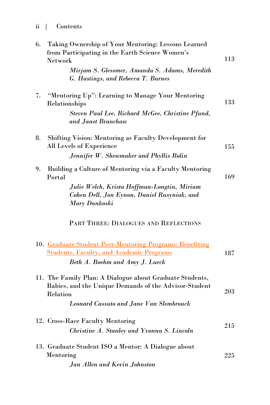| 6. | Taking Ownership of Your Mentoring: Lessons Learned<br>from Participating in the Earth Science Women's<br>Network<br>Mirjam S. Glessmer, Amanda S. Adams, Meredith<br>G. Hastings, and Rebecca T. Barnes | 113 |
|----|----------------------------------------------------------------------------------------------------------------------------------------------------------------------------------------------------------|-----|
| 7. | "Mentoring Up": Learning to Manage Your Mentoring<br>Relationships<br>Steven Paul Lee, Richard McGee, Christine Pfund,<br>and Janet Branchaw                                                             | 133 |
| 8. | Shifting Vision: Mentoring as Faculty Development for<br>All Levels of Experience<br>Jennifer W. Shewmaker and Phyllis Bolin                                                                             | 155 |
| 9. | Building a Culture of Mentoring via a Faculty Mentoring<br>Portal<br>Julie Welch, Krista Hoffman-Longtin, Miriam<br>Cohen Dell, Jon Eynon, Daniel Rusyniak, and<br>Mary Dankoski                         | 169 |
|    | PART THREE: DIALOGUES AND REFLECTIONS                                                                                                                                                                    |     |
|    | 10. Graduate Student Peer-Mentoring Programs: Benefiting<br><b>Students, Faculty, and Academic Programs</b><br>Beth A. Boehm and Amy J. Lueck                                                            | 187 |
|    | 11. The Family Plan: A Dialogue about Graduate Students,<br>Babies, and the Unique Demands of the Advisor-Student<br>Relation<br><b>Leonard Cassuto and Jane Van Slembrouck</b>                          | 203 |
|    | 12. Cross-Race Faculty Mentoring<br>Christine A. Stanley and Yvonna S. Lincoln                                                                                                                           | 215 |
|    | 13. Graduate Student ISO a Mentor: A Dialogue about<br>Mentoring<br>Jan Allen and Kevin Johnston                                                                                                         | 225 |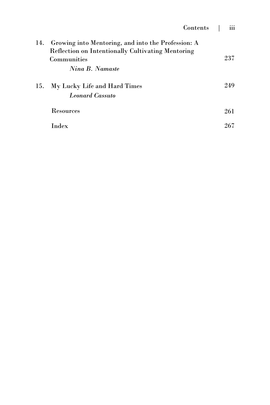| 14. | Growing into Mentoring, and into the Profession: A<br><b>Reflection on Intentionally Cultivating Mentoring</b><br>Communities<br>Nina B. Namaste | 237 |
|-----|--------------------------------------------------------------------------------------------------------------------------------------------------|-----|
| 15. | My Lucky Life and Hard Times<br><b>Leonard Cassuto</b>                                                                                           | 249 |
|     | <b>Resources</b>                                                                                                                                 | 261 |
|     | Index                                                                                                                                            | 267 |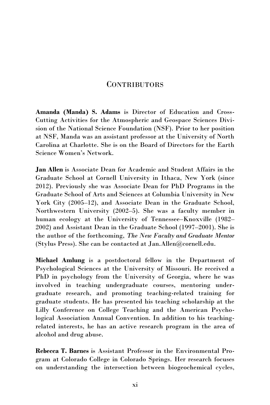# **CONTRIBUTORS**

<span id="page-4-0"></span>**Amanda (Manda) S. Adams** is Director of Education and Cross-Cutting Activities for the Atmospheric and Geospace Sciences Division of the National Science Foundation (NSF). Prior to her position at NSF, Manda was an assistant professor at the University of North Carolina at Charlotte. She is on the Board of Directors for the Earth Science Women's Network.

**Jan Allen** is Associate Dean for Academic and Student Affairs in the Graduate School at Cornell University in Ithaca, New York (since 2012). Previously she was Associate Dean for PhD Programs in the Graduate School of Arts and Sciences at Columbia University in New York City (2005–12), and Associate Dean in the Graduate School, Northwestern University (2002–5). She was a faculty member in human ecology at the University of Tennessee–Knoxville (1982– 2002) and Assistant Dean in the Graduate School (1997–2001). She is the author of the forthcoming, *The New Faculty and Graduate Mentor* (Stylus Press). She can be contacted at [Jan.Allen@cornell.edu.](mailto:Jan.Allen@cornell.edu)

**Michael Amlung** is a postdoctoral fellow in the Department of Psychological Sciences at the University of Missouri. He received a PhD in psychology from the University of Georgia, where he was involved in teaching undergraduate courses, mentoring undergraduate research, and promoting teaching-related training for graduate students. He has presented his teaching scholarship at the Lilly Conference on College Teaching and the American Psychological Association Annual Convention. In addition to his teachingrelated interests, he has an active research program in the area of alcohol and drug abuse.

**Rebecca T. Barnes** is Assistant Professor in the Environmental Program at Colorado College in Colorado Springs. Her research focuses on understanding the intersection between biogeochemical cycles,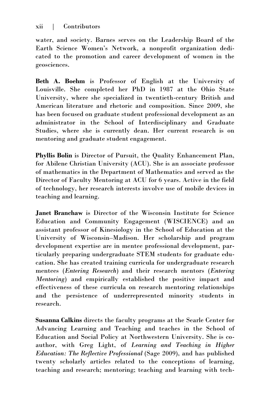water, and society. Barnes serves on the Leadership Board of the Earth Science Women's Network, a nonprofit organization dedicated to the promotion and career development of women in the geosciences.

**Beth A. Boehm** is Professor of English at the University of Louisville. She completed her PhD in 1987 at the Ohio State University, where she specialized in twentieth-century British and American literature and rhetoric and composition. Since 2009, she has been focused on graduate student professional development as an administrator in the School of Interdisciplinary and Graduate Studies, where she is currently dean. Her current research is on mentoring and graduate student engagement.

**Phyllis Bolin** is Director of Pursuit, the Quality Enhancement Plan, for Abilene Christian University (ACU). She is an associate professor of mathematics in the Department of Mathematics and served as the Director of Faculty Mentoring at ACU for 6 years. Active in the field of technology, her research interests involve use of mobile devices in teaching and learning.

**Janet Branchaw** is Director of the Wisconsin Institute for Science Education and Community Engagement (WISCIENCE) and an assistant professor of Kinesiology in the School of Education at the University of Wisconsin–Madison. Her scholarship and program development expertise are in mentee professional development, particularly preparing undergraduate STEM students for graduate education. She has created training curricula for undergraduate research mentees (*Entering Research*) and their research mentors (*Entering Mentoring*) and empirically established the positive impact and effectiveness of these curricula on research mentoring relationships and the persistence of underrepresented minority students in research.

**Susanna Calkins** directs the faculty programs at the Searle Center for Advancing Learning and Teaching and teaches in the School of Education and Social Policy at Northwestern University. She is coauthor, with Greg Light, of *Learning and Teaching in Higher Education: The Reflective Professional* (Sage 2009), and has published twenty scholarly articles related to the conceptions of learning, teaching and research; mentoring; teaching and learning with tech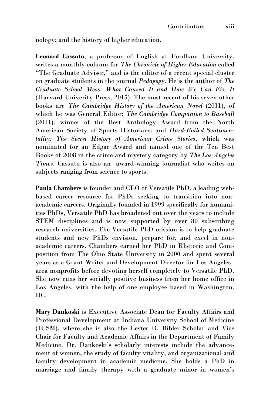nology; and the history of higher education.

**Leonard Cassuto**, a professor of English at Fordham University, writes a monthly column for *The Chronicle of Higher Education* called "The Graduate Adviser," and is the editor of a recent special cluster on graduate students in the journal *Pedagogy*. He is the author of *The Graduate School Mess: What Caused It and How We Can Fix It*  (Harvard Univerity Press, 2015). The most recent of his seven other books are *The Cambridge History of the American Novel* (2011), of which he was General Editor; *The Cambridge Companion to Baseball*  (2011), winner of the Best Anthology Award from the North American Society of Sports Historians; and *Hard-Boiled Sentimentality: The Secret History of American Crime Stories*, which was nominated for an Edgar Award and named one of the Ten Best Books of 2008 in the crime and mystery category by *The Los Angeles Times*. Cassuto is also an award-winning journalist who writes on subjects ranging from science to sports.

**Paula Chambers** is founder and CEO of Versatile PhD, a leading webbased career resource for PhDs seeking to transition into nonacademic careers. Originally founded in 1999 specifically for humanities PhDs, Versatile PhD has broadened out over the years to include STEM disciplines and is now supported by over 80 subscribing research universities. The Versatile PhD mission is to help graduate students and new PhDs envision, prepare for, and excel in nonacademic careers. Chambers earned her PhD in Rhetoric and Composition from The Ohio State University in 2000 and spent several years as a Grant Writer and Development Director for Los Angeles– area nonprofits before devoting herself completely to Versatile PhD. She now runs her socially positive business from her home office in Los Angeles, with the help of one employee based in Washington, DC.

**Mary Dankoski** is Executive Associate Dean for Faculty Affairs and Professional Development at Indiana University School of Medicine (IUSM), where she is also the Lester D. Bibler Scholar and Vice Chair for Faculty and Academic Affairs in the Department of Family Medicine. Dr. Dankoski's scholarly interests include the advancement of women, the study of faculty vitality, and organizational and faculty development in academic medicine. She holds a PhD in marriage and family therapy with a graduate minor in women's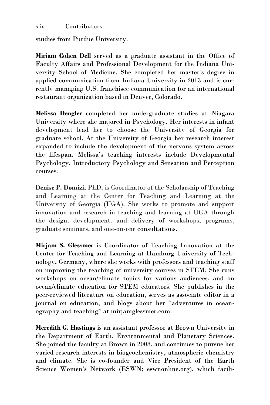# xiv | Contributors

studies from Purdue University.

**Miriam Cohen Dell** served as a graduate assistant in the Office of Faculty Affairs and Professional Development for the Indiana University School of Medicine. She completed her master's degree in applied communication from Indiana University in 2013 and is currently managing U.S. franchisee communication for an international restaurant organization based in Denver, Colorado.

**Melissa Dengler** completed her undergraduate studies at Niagara University where she majored in Psychology. Her interests in infant development lead her to choose the University of Georgia for graduate school. At the University of Georgia her research interest expanded to include the development of the nervous system across the lifespan. Melissa's teaching interests include Developmental Psychology, Introductory Psychology and Sensation and Perception courses.

**Denise P. Domizi,** PhD, is Coordinator of the Scholarship of Teaching and Learning at the Center for Teaching and Learning at the University of Georgia (UGA). She works to promote and support innovation and research in teaching and learning at UGA through the design, development, and delivery of workshops, programs, graduate seminars, and one-on-one consultations.

**Mirjam S. Glessmer** is Coordinator of Teaching Innovation at the Center for Teaching and Learning at Hamburg University of Technology, Germany, where she works with professors and teaching staff on improving the teaching of university courses in STEM. She runs workshops on ocean/climate topics for various audiences, and on ocean/climate education for STEM educators. She publishes in the peer-reviewed literature on education, serves as associate editor in a journal on education, and blogs about her "adventures in oceanography and teaching" at [mirjamglessmer.com.](http://mirjamglessmer.com)

**Meredith G. Hastings** is an assistant professor at Brown University in the Department of Earth, Environmental and Planetary Sciences. She joined the faculty at Brown in 2008, and continues to pursue her varied research interests in biogeochemistry, atmospheric chemistry and climate. She is co-founder and Vice President of the Earth Science Women's Network (ESWN; eswnonline.org), which facili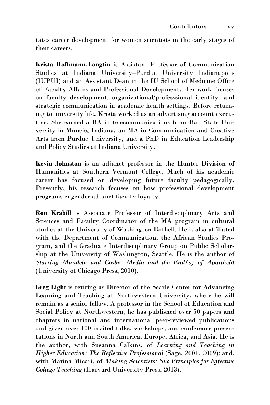tates career development for women scientists in the early stages of their careers.

**Krista Hoffmann-Longtin** is Assistant Professor of Communication Studies at Indiana University–Purdue University Indianapolis (IUPUI) and an Assistant Dean in the IU School of Medicine Office of Faculty Affairs and Professional Development. Her work focuses on faculty development, organizational/professsional identity, and strategic communication in academic health settings. Before returning to university life, Krista worked as an advertising account executive. She earned a BA in telecommunications from Ball State University in Muncie, Indiana, an MA in Communication and Creative Arts from Purdue University, and a PhD in Education Leadership and Policy Studies at Indiana University.

**Kevin Johnston** is an adjunct professor in the Hunter Division of Humanities at Southern Vermont College. Much of his academic career has focused on developing future faculty pedagogically. Presently, his research focuses on how professional development programs engender adjunct faculty loyalty.

**Ron Krabill** is Associate Professor of Interdisciplinary Arts and Sciences and Faculty Coordinator of the MA program in cultural studies at the University of Washington Bothell. He is also affiliated with the Department of Communication, the African Studies Program, and the Graduate Interdisciplinary Group on Public Scholarship at the University of Washington, Seattle. He is the author of *Starring Mandela and Cosby: Media and the End(s) of Apartheid*  (University of Chicago Press, 2010).

**Greg Light** is retiring as Director of the Searle Center for Advancing Learning and Teaching at Northwestern University, where he will remain as a senior fellow. A professor in the School of Education and Social Policy at Northwestern, he has published over 50 papers and chapters in national and international peer-reviewed publications and given over 100 invited talks, workshops, and conference presentations in North and South America, Europe, Africa, and Asia. He is the author, with Susanna Calkins, of *Learning and Teaching in Higher Education: The Reflective Professional* (Sage, 2001, 2009); and, with Marina Micari, of *Making Scientists: Six Principles for Effective College Teaching* (Harvard University Press, 2013).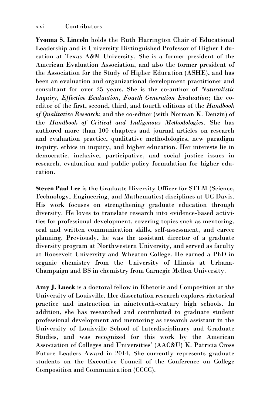**Yvonna S. Lincoln** holds the Ruth Harrington Chair of Educational Leadership and is University Distinguished Professor of Higher Education at Texas A&M University. She is a former president of the American Evaluation Association, and also the former president of the Association for the Study of Higher Education (ASHE), and has been an evaluation and organizational development practitioner and consultant for over 25 years. She is the co-author of *Naturalistic Inquiry, Effective Evaluation, Fourth Generation Evaluation*; the coeditor of the first, second, third, and fourth editions of the *Handbook of Qualitative Research*; and the co-editor (with Norman K. Denzin) of the *Handbook of Critical and Indigenous Methodologies*. She has authored more than 100 chapters and journal articles on research and evaluation practice, qualitative methodologies, new paradigm inquiry, ethics in inquiry, and higher education. Her interests lie in democratic, inclusive, participative, and social justice issues in research, evaluation and public policy formulation for higher education.

**Steven Paul Lee** is the Graduate Diversity Officer for STEM (Science, Technology, Engineering, and Mathematics) disciplines at UC Davis. His work focuses on strengthening graduate education through diversity. He loves to translate research into evidence-based activities for professional development, covering topics such as mentoring, oral and written communication skills, self-assessment, and career planning. Previously, he was the assistant director of a graduate diversity program at Northwestern University, and served as faculty at Roosevelt University and Wheaton College. He earned a PhD in organic chemistry from the University of Illinois at Urbana-Champaign and BS in chemistry from Carnegie Mellon University.

**Amy J. Lueck** is a doctoral fellow in Rhetoric and Composition at the University of Louisville. Her dissertation research explores rhetorical practice and instruction in nineteenth-century high schools. In addition, she has researched and contributed to graduate student professional development and mentoring as research assistant in the University of Louisville School of Interdisciplinary and Graduate Studies, and was recognized for this work by the American Association of Colleges and Universities' (AAC&U) K. Patricia Cross Future Leaders Award in 2014. She currently represents graduate students on the Executive Council of the Conference on College Composition and Communication (CCCC).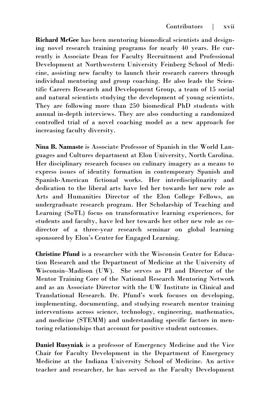**Richard McGee** has been mentoring biomedical scientists and designing novel research training programs for nearly 40 years. He currently is Associate Dean for Faculty Recruitment and Professional Development at Northwestern University Feinberg School of Medicine, assisting new faculty to launch their research careers through individual mentoring and group coaching. He also leads the Scientific Careers Research and Development Group, a team of 15 social and natural scientists studying the development of young scientists. They are following more than 250 biomedical PhD students with annual in-depth interviews. They are also conducting a randomized controlled trial of a novel coaching model as a new approach for increasing faculty diversity.

**Nina B. Namaste** is Associate Professor of Spanish in the World Languages and Cultures department at Elon University, North Carolina. Her disciplinary research focuses on culinary imagery as a means to express issues of identity formation in contemporary Spanish and Spanish-American fictional works. Her interdisciplinarity and dedication to the liberal arts have led her towards her new role as Arts and Humanities Director of the Elon College Fellows, an undergraduate research program. Her Scholarship of Teaching and Learning (SoTL) focus on transformative learning experiences, for students and faculty, have led her towards her other new role as codirector of a three-year research seminar on global learning sponsored by Elon's Center for Engaged Learning.

**Christine Pfund** is a researcher with the Wisconsin Center for Education Research and the Department of Medicine at the University of Wisconsin–Madison (UW). She serves as PI and Director of the Mentor Training Core of the National Research Mentoring Network and as an Associate Director with the UW Institute in Clinical and Translational Research. Dr. Pfund's work focuses on developing, implementing, documenting, and studying research mentor training interventions across science, technology, engineering, mathematics, and medicine (STEMM) and understanding specific factors in mentoring relationships that account for positive student outcomes.

**Daniel Rusyniak** is a professor of Emergency Medicine and the Vice Chair for Faculty Development in the Department of Emergency Medicine at the Indiana University School of Medicine. An active teacher and researcher, he has served as the Faculty Development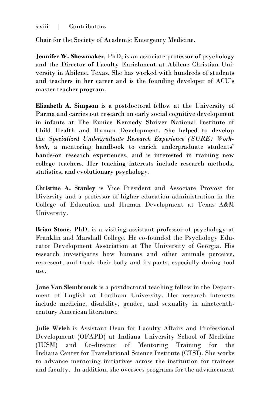# xviii | Contributors

Chair for the Society of Academic Emergency Medicine.

**Jennifer W. Shewmaker**, PhD, is an associate professor of psychology and the Director of Faculty Enrichment at Abilene Christian University in Abilene, Texas. She has worked with hundreds of students and teachers in her career and is the founding developer of ACU's master teacher program.

**Elizabeth A. Simpson** is a postdoctoral fellow at the University of Parma and carries out research on early social cognitive development in infants at The Eunice Kennedy Shriver National Institute of Child Health and Human Development. She helped to develop the *Specialized Undergraduate Research Experience (SURE) Workbook*, a mentoring handbook to enrich undergraduate students' hands-on research experiences, and is interested in training new college teachers. Her teaching interests include research methods, statistics, and evolutionary psychology.

**Christine A. Stanley** is Vice President and Associate Provost for Diversity and a professor of higher education administration in the College of Education and Human Development at Texas A&M University.

**Brian Stone,** PhD, is a visiting assistant professor of psychology at Franklin and Marshall College. He co-founded the Psychology Educator Development Association at The University of Georgia. His research investigates how humans and other animals perceive, represent, and track their body and its parts, especially during tool use.

**Jane Van Slembrouck** is a postdoctoral teaching fellow in the Department of English at Fordham University. Her research interests include medicine, disability, gender, and sexuality in nineteenthcentury American literature.

**Julie Welch** is Assistant Dean for Faculty Affairs and Professional Development (OFAPD) at Indiana University School of Medicine (IUSM) and Co-director of Mentoring Training for the Indiana Center for Translational Science Institute (CTSI). She works to advance mentoring initiatives across the institution for trainees and faculty. In addition, she oversees programs for the advancement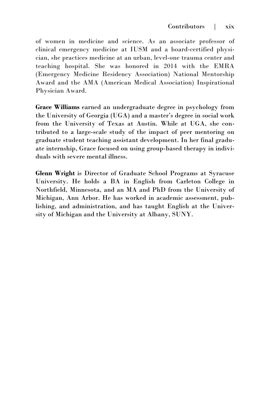of women in medicine and science. As an associate professor of clinical emergency medicine at IUSM and a board-certified physician, she practices medicine at an urban, level-one trauma center and teaching hospital. She was honored in 2014 with the EMRA (Emergency Medicine Residency Association) National Mentorship Award and the AMA (American Medical Association) Inspirational Physician Award.

**Grace Williams** earned an undergraduate degree in psychology from the University of Georgia (UGA) and a master's degree in social work from the University of Texas at Austin. While at UGA, she contributed to a large-scale study of the impact of peer mentoring on graduate student teaching assistant development. In her final graduate internship, Grace focused on using group-based therapy in individuals with severe mental illness.

**Glenn Wright** is Director of Graduate School Programs at Syracuse University. He holds a BA in English from Carleton College in Northfield, Minnesota, and an MA and PhD from the University of Michigan, Ann Arbor. He has worked in academic assessment, publishing, and administration, and has taught English at the University of Michigan and the University at Albany, SUNY.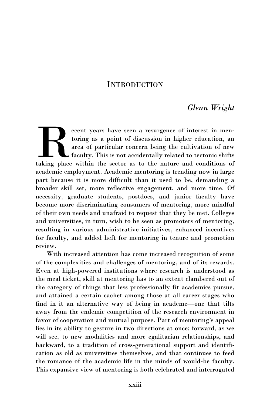# **INTRODUCTION**

# *Glenn Wright*

<span id="page-13-0"></span>ecent years have seen a resurgence of interest in mentoring as a point of discussion in higher education, an area of particular concern being the cultivation of new faculty. This is not accidentally related to tectonic shi ecent years have seen a resurgence of interest in mentoring as a point of discussion in higher education, an area of particular concern being the cultivation of new faculty. This is not accidentally related to tectonic shifts academic employment. Academic mentoring is trending now in large part because it is more difficult than it used to be, demanding a broader skill set, more reflective engagement, and more time. Of necessity, graduate students, postdocs, and junior faculty have become more discriminating consumers of mentoring, more mindful of their own needs and unafraid to request that they be met. Colleges and universities, in turn, wish to be seen as promoters of mentoring, resulting in various administrative initiatives, enhanced incentives for faculty, and added heft for mentoring in tenure and promotion review.

With increased attention has come increased recognition of some of the complexities and challenges of mentoring, and of its rewards. Even at high-powered institutions where research is understood as the meal ticket, skill at mentoring has to an extent clambered out of the category of things that less professionally fit academics pursue, and attained a certain cachet among those at all career stages who find in it an alternative way of being in academe—one that tilts away from the endemic competition of the research environment in favor of cooperation and mutual purpose. Part of mentoring's appeal lies in its ability to gesture in two directions at once: forward, as we will see, to new modalities and more egalitarian relationships, and backward, to a tradition of cross-generational support and identification as old as universities themselves, and that continues to feed the romance of the academic life in the minds of would-be faculty. This expansive view of mentoring is both celebrated and interrogated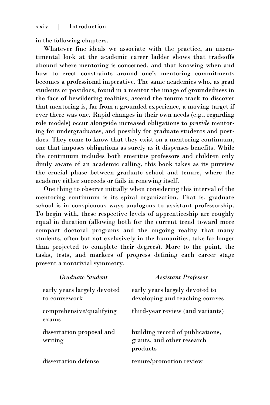### xxiv | Introduction

in the following chapters.

Whatever fine ideals we associate with the practice, an unsentimental look at the academic career ladder shows that tradeoffs abound where mentoring is concerned, and that knowing when and how to erect constraints around one's mentoring commitments becomes a professional imperative. The same academics who, as grad students or postdocs, found in a mentor the image of groundedness in the face of bewildering realities, ascend the tenure track to discover that mentoring is, far from a grounded experience, a moving target if ever there was one. Rapid changes in their own needs (e.g., regarding role models) occur alongside increased obligations to *provide* mentoring for undergraduates, and possibly for graduate students and postdocs. They come to know that they exist on a mentoring continuum, one that imposes obligations as surely as it dispenses benefits. While the continuum includes both emeritus professors and children only dimly aware of an academic calling, this book takes as its purview the crucial phase between graduate school and tenure, where the academy either succeeds or fails in renewing itself.

One thing to observe initially when considering this interval of the mentoring continuum is its spiral organization. That is, graduate school is in conspicuous ways analogous to assistant professorship. To begin with, these respective levels of apprenticeship are roughly equal in duration (allowing both for the current trend toward more compact doctoral programs and the ongoing reality that many students, often but not exclusively in the humanities, take far longer than projected to complete their degrees). More to the point, the tasks, tests, and markers of progress defining each career stage present a nontrivial symmetry.

| <b>Graduate Student</b>                      | <b>Assistant Professor</b>                                                 |
|----------------------------------------------|----------------------------------------------------------------------------|
| early years largely devoted<br>to coursework | early years largely devoted to<br>developing and teaching courses          |
| comprehensive/qualifying<br>exams            | third-year review (and variants)                                           |
| dissertation proposal and<br>writing         | building record of publications,<br>grants, and other research<br>products |
| dissertation defense                         | tenure/promotion review                                                    |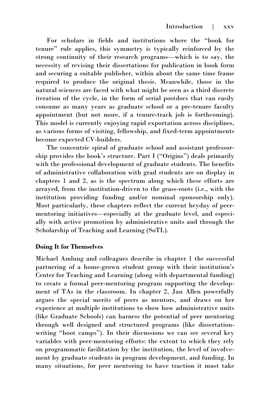For scholars in fields and institutions where the "book for tenure" rule applies, this symmetry is typically reinforced by the strong continuity of their research programs—which is to say, the necessity of revising their dissertations for publication in book form and securing a suitable publisher, within about the same time frame required to produce the original thesis. Meanwhile, those in the natural sciences are faced with what might be seen as a third discrete iteration of the cycle, in the form of serial postdocs that can easily consume as many years as graduate school or a pre-tenure faculty appointment (but not more, if a tenure-track job is forthcoming). This model is currently enjoying rapid exportation across disciplines, as various forms of visiting, fellowship, and fixed-term appointments become expected CV-builders.

The concentric spiral of graduate school and assistant professorship provides the book's structure. Part I ("Origins") deals primarily with the professional development of graduate students. The benefits of administrative collaboration with grad students are on display in chapters 1 and 2, as is the spectrum along which these efforts are arrayed, from the institution-driven to the grass-roots (i.e., with the institution providing funding and/or nominal sponsorship only). Most particularly, these chapters reflect the current heyday of peermentoring initiatives—especially at the graduate level, and especially with active promotion by administrative units and through the Scholarship of Teaching and Learning (SoTL).

#### **Doing It for Themselves**

Michael Amlung and colleagues describe in chapter 1 the successful partnering of a home-grown student group with their institution's Center for Teaching and Learning (along with departmental funding) to create a formal peer-mentoring program supporting the development of TAs in the classroom. In chapter 2, Jan Allen powerfully argues the special merits of peers as mentors, and draws on her experience at multiple institutions to show how administrative units (like Graduate Schools) can harness the potential of peer mentoring through well designed and structured programs (like dissertationwriting "boot camps"). In their discussions we can see several key variables with peer-mentoring efforts: the extent to which they rely on programmatic facilitation by the institution, the level of involvement by graduate students in program development, and funding. In many situations, for peer mentoring to have traction it must take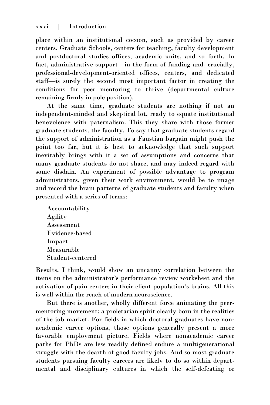place within an institutional cocoon, such as provided by career centers, Graduate Schools, centers for teaching, faculty development and postdoctoral studies offices, academic units, and so forth. In fact, administrative support—in the form of funding and, crucially, professional-development-oriented offices, centers, and dedicated staff—is surely the second most important factor in creating the conditions for peer mentoring to thrive (departmental culture remaining firmly in pole position).

At the same time, graduate students are nothing if not an independent-minded and skeptical lot, ready to equate institutional benevolence with paternalism. This they share with those former graduate students, the faculty. To say that graduate students regard the support of administration as a Faustian bargain might push the point too far, but it is best to acknowledge that such support inevitably brings with it a set of assumptions and concerns that many graduate students do not share, and may indeed regard with some disdain. An experiment of possible advantage to program administrators, given their work environment, would be to image and record the brain patterns of graduate students and faculty when presented with a series of terms:

Accountability Agility Assessment Evidence-based Impact Measurable Student-centered

Results, I think, would show an uncanny correlation between the items on the administrator's performance review worksheet and the activation of pain centers in their client population's brains. All this is well within the reach of modern neuroscience.

But there is another, wholly different force animating the peermentoring movement: a proletarian spirit clearly born in the realities of the job market. For fields in which doctoral graduates have nonacademic career options, those options generally present a more favorable employment picture. Fields where nonacademic career paths for PhDs are less readily defined endure a multigenerational struggle with the dearth of good faculty jobs. And so most graduate students pursuing faculty careers are likely to do so within departmental and disciplinary cultures in which the self-defeating or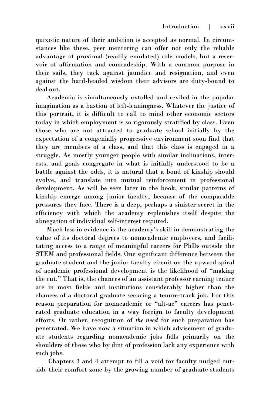quixotic nature of their ambition is accepted as normal. In circumstances like these, peer mentoring can offer not only the reliable advantage of proximal (readily emulated) role models, but a reservoir of affirmation and comradeship. With a common purpose in their sails, they tack against jaundice and resignation, and even against the hard-headed wisdom their advisors are duty-bound to deal out.

Academia is simultaneously extolled and reviled in the popular imagination as a bastion of left-leaningness. Whatever the justice of this portrait, it is difficult to call to mind other economic sectors today in which employment is so rigorously stratified by class. Even those who are not attracted to graduate school initially by the expectation of a congenially progressive environment soon find that they are members of a class, and that this class is engaged in a struggle. As mostly younger people with similar inclinations, interests, and goals congregate in what is initially understood to be a battle against the odds, it is natural that a bond of kinship should evolve, and translate into mutual reinforcement in professional development. As will be seen later in the book, similar patterns of kinship emerge among junior faculty, because of the comparable pressures they face. There is a deep, perhaps a sinister secret in the efficiency with which the academy replenishes itself despite the abnegation of individual self-interest required.

Much less in evidence is the academy's skill in demonstrating the value of its doctoral degrees to nonacademic employers, and facilitating access to a range of meaningful careers for PhDs outside the STEM and professional fields. One significant difference between the graduate student and the junior faculty circuit on the upward spiral of academic professional development is the likelihood of "making the cut." That is, the chances of an assistant professor earning tenure are in most fields and institutions considerably higher than the chances of a doctoral graduate securing a tenure-track job. For this reason preparation for nonacademic or "alt-ac" careers has penetrated graduate education in a way foreign to faculty development efforts. Or rather, recognition of *the need* for such preparation has penetrated. We have now a situation in which advisement of graduate students regarding nonacademic jobs falls primarily on the shoulders of those who by dint of profession lack any experience with such jobs.

Chapters 3 and 4 attempt to fill a void for faculty nudged outside their comfort zone by the growing number of graduate students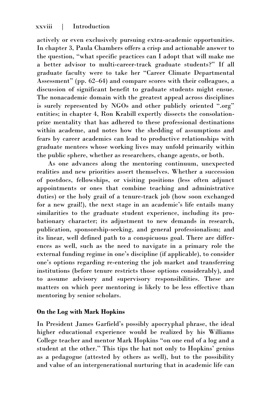actively or even exclusively pursuing extra-academic opportunities. In chapter 3, Paula Chambers offers a crisp and actionable answer to the question, "what specific practices can I adopt that will make me a better advisor to multi-career-track graduate students?" If all graduate faculty were to take her "Career Climate Departmental Assessment" (pp. 62–64) and compare scores with their colleagues, a discussion of significant benefit to graduate students might ensue. The nonacademic domain with the greatest appeal across disciplines is surely represented by NGOs and other publicly oriented ".org" entities; in chapter 4, Ron Krabill expertly dissects the consolationprize mentality that has adhered to these professional destinations within academe, and notes how the shedding of assumptions and fears by career academics can lead to productive relationships with graduate mentees whose working lives may unfold primarily within the public sphere, whether as researchers, change agents, or both.

As one advances along the mentoring continuum, unexpected realities and new priorities assert themselves. Whether a succession of postdocs, fellowships, or visiting positions (less often adjunct appointments or ones that combine teaching and administrative duties) or the holy grail of a tenure-track job (how soon exchanged for a new grail!), the next stage in an academic's life entails many similarities to the graduate student experience, including its probationary character; its adjustment to new demands in research, publication, sponsorship-seeking, and general professionalism; and its linear, well defined path to a conspicuous goal. There are differences as well, such as the need to navigate in a primary role the external funding regime in one's discipline (if applicable), to consider one's options regarding re-entering the job market and transferring institutions (before tenure restricts those options considerably), and to assume advisory and supervisory responsibilities. These are matters on which peer mentoring is likely to be less effective than mentoring by senior scholars.

# **On the Log with Mark Hopkins**

In President James Garfield's possibly apocryphal phrase, the ideal higher educational experience would be realized by his Williams College teacher and mentor Mark Hopkins "on one end of a log and a student at the other." This tips the hat not only to Hopkins' genius as a pedagogue (attested by others as well), but to the possibility and value of an intergenerational nurturing that in academic life can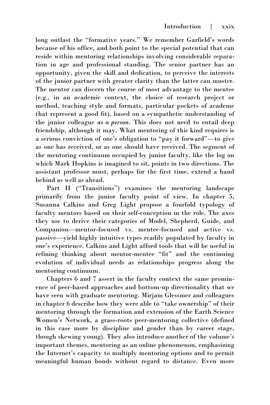long outlast the "formative years." We remember Garfield's words because of his office, and both point to the special potential that can reside within mentoring relationships involving considerable separation in age and professional standing. The senior partner has an opportunity, given the skill and dedication, to perceive the interests of the junior partner with greater clarity than the latter can muster. The mentor can discern the course of most advantage to the mentee (e.g., in an academic context, the choice of research project or method, teaching style and formats, particular pockets of academe that represent a good fit), based on a sympathetic understanding of the junior colleague *as a person*. This does not need to entail deep friendship, although it may. What mentoring of this kind requires is a serious conviction of one's obligation to "pay it forward"—to give as one has received, or as one should have received. The segment of the mentoring continuum occupied by junior faculty, like the log on which Mark Hopkins is imagined to sit, points in two directions. The assistant professor must, perhaps for the first time, extend a hand behind as well as ahead.

Part II ("Transitions") examines the mentoring landscape primarily from the junior faculty point of view. In chapter 5, Susanna Calkins and Greg Light propose a fourfold typology of faculty mentors based on their self-conception in the role. The axes they use to derive their categories of Model, Shepherd, Guide, and Companion—mentor-focused vs. mentee-focused and active vs. passive—yield highly intuitive types readily populated by faculty in one's experience. Calkins and Light afford tools that will be useful in refining thinking about mentor-mentee "fit" and the continuing evolution of individual needs as relationships progress along the mentoring continuum.

Chapters 6 and 7 assert in the faculty context the same prominence of peer-based approaches and bottom-up directionality that we have seen with graduate mentoring. Mirjam Glessmer and colleagues in chapter 6 describe how they were able to "take ownership" of their mentoring through the formation and extension of the Earth Science Women's Network, a grass-roots peer-mentoring collective (defined in this case more by discipline and gender than by career stage, though skewing young). They also introduce another of the volume's important themes, mentoring as an online phenomenon, emphasizing the Internet's capacity to multiply mentoring options and to permit meaningful human bonds without regard to distance. Even more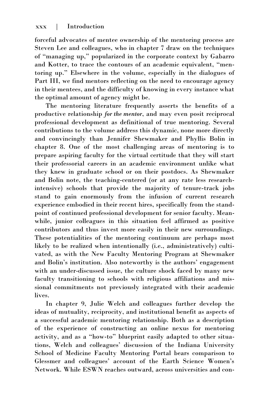forceful advocates of mentee ownership of the mentoring process are Steven Lee and colleagues, who in chapter 7 draw on the techniques of "managing up," popularized in the corporate context by Gabarro and Kotter, to trace the contours of an academic equivalent, "mentoring up." Elsewhere in the volume, especially in the dialogues of Part III, we find mentors reflecting on the need to encourage agency in their mentees, and the difficulty of knowing in every instance what the optimal amount of agency might be.

The mentoring literature frequently asserts the benefits of a productive relationship *for the mentor*, and may even posit reciprocal professional development as definitional of true mentoring. Several contributions to the volume address this dynamic, none more directly and convincingly than Jennifer Shewmaker and Phyllis Bolin in chapter 8. One of the most challenging areas of mentoring is to prepare aspiring faculty for the virtual certitude that they will start their professorial careers in an academic environment unlike what they knew in graduate school or on their postdocs. As Shewmaker and Bolin note, the teaching-centered (or at any rate less researchintensive) schools that provide the majority of tenure-track jobs stand to gain enormously from the infusion of current research experience embodied in their recent hires, specifically from the standpoint of continued professional development for senior faculty. Meanwhile, junior colleagues in this situation feel affirmed as positive contributors and thus invest more easily in their new surroundings. These potentialities of the mentoring continuum are perhaps most likely to be realized when intentionally (i.e., administratively) cultivated, as with the New Faculty Mentoring Program at Shewmaker and Bolin's institution. Also noteworthy is the authors' engagement with an under-discussed issue, the culture shock faced by many new faculty transitioning to schools with religious affiliations and missional commitments not previously integrated with their academic lives.

In chapter 9, Julie Welch and colleagues further develop the ideas of mutuality, reciprocity, and institutional benefit as aspects of a successful academic mentoring relationship. Both as a description of the experience of constructing an online nexus for mentoring activity, and as a "how-to" blueprint easily adapted to other situations, Welch and colleagues' discussion of the Indiana University School of Medicine Faculty Mentoring Portal bears comparison to Glessmer and colleagues' account of the Earth Science Women's Network. While ESWN reaches outward, across universities and con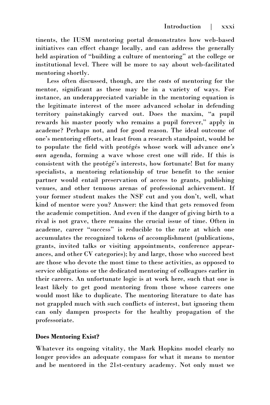tinents, the IUSM mentoring portal demonstrates how web-based initiatives can effect change locally, and can address the generally held aspiration of "building a culture of mentoring" at the college or institutional level. There will be more to say about web-facilitated mentoring shortly.

Less often discussed, though, are the *costs* of mentoring for the mentor, significant as these may be in a variety of ways. For instance, an underappreciated variable in the mentoring equation is the legitimate interest of the more advanced scholar in defending territory painstakingly carved out. Does the maxim, "a pupil rewards his master poorly who remains a pupil forever," apply in academe? Perhaps not, and for good reason. The ideal outcome of one's mentoring efforts, at least from a research standpoint, would be to populate the field with protégés whose work will advance *one's own* agenda, forming a wave whose crest one will ride. If this is consistent with the protégé's interests, how fortunate! But for many specialists, a mentoring relationship of true benefit to the senior partner would entail preservation of access to grants, publishing venues, and other tenuous arenas of professional achievement. If your former student makes the NSF cut and you don't, well, what kind of mentor were you? Answer: the kind that gets removed from the academic competition. And even if the danger of giving birth to a rival is not grave, there remains the crucial issue of time. Often in academe, career "success" is reducible to the rate at which one accumulates the recognized tokens of accomplishment (publications, grants, invited talks or visiting appointments, conference appearances, and other CV categories); by and large, those who succeed best are those who devote the most time to these activities, as opposed to service obligations or the dedicated mentoring of colleagues earlier in their careers. An unfortunate logic is at work here, such that one is least likely to get good mentoring from those whose careers one would most like to duplicate. The mentoring literature to date has not grappled much with such conflicts of interest, but ignoring them can only dampen prospects for the healthy propagation of the professoriate.

# **Does Mentoring Exist?**

Whatever its ongoing vitality, the Mark Hopkins model clearly no longer provides an adequate compass for what it means to mentor and be mentored in the 21st-century academy. Not only must we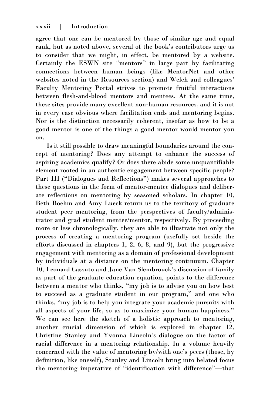agree that one can be mentored by those of similar age and equal rank, but as noted above, several of the book's contributors urge us to consider that we might, in effect, be mentored by a website. Certainly the ESWN site "mentors" in large part by facilitating connections between human beings (like MentorNet and other websites noted in the Resources section) and Welch and colleagues' Faculty Mentoring Portal strives to promote fruitful interactions between flesh-and-blood mentors and mentees. At the same time, these sites provide many excellent non-human resources, and it is not in every case obvious where facilitation ends and mentoring begins. Nor is the distinction necessarily coherent, insofar as how to be a good mentor is one of the things a good mentor would mentor you on.

Is it still possible to draw meaningful boundaries around the concept of mentoring? Does any attempt to enhance the success of aspiring academics qualify? Or does there abide some unquantifiable element rooted in an authentic engagement between specific people? Part III ("Dialogues and Reflections") makes several approaches to these questions in the form of mentor-mentee dialogues and deliberate reflections on mentoring by seasoned scholars. In chapter 10, Beth Boehm and Amy Lueck return us to the territory of graduate student peer mentoring, from the perspectives of faculty/administrator and grad student mentee/mentor, respectively. By proceeding more or less chronologically, they are able to illustrate not only the process of creating a mentoring program (usefully set beside the efforts discussed in chapters 1, 2, 6, 8, and 9), but the progressive engagement with mentoring as a domain of professional development by individuals at a distance on the mentoring continuum. Chapter 10, Leonard Cassuto and Jane Van Slembrouck's discussion of family as part of the graduate education equation, points to the difference between a mentor who thinks, "my job is to advise you on how best to succeed as a graduate student in our program," and one who thinks, "my job is to help you integrate your academic pursuits with all aspects of your life, so as to maximize your human happiness." We can see here the sketch of a holistic approach to mentoring, another crucial dimension of which is explored in chapter 12, Christine Stanley and Yvonna Lincoln's dialogue on the factor of racial difference in a mentoring relationship. In a volume heavily concerned with the value of mentoring by/with one's peers (those, by definition, like oneself), Stanley and Lincoln bring into belated focus the mentoring imperative of "identification with difference"—that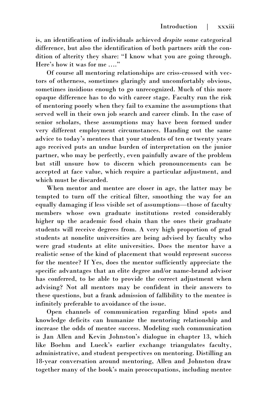is, an identification of individuals achieved *despite* some categorical difference, but also the identification of both partners *with* the condition of alterity they share: "I know what you are going through. Here's how it was for me …."

Of course all mentoring relationships are criss-crossed with vectors of otherness, sometimes glaringly and uncomfortably obvious, sometimes insidious enough to go unrecognized. Much of this more opaque difference has to do with career stage. Faculty run the risk of mentoring poorly when they fail to examine the assumptions that served well in their own job search and career climb. In the case of senior scholars, these assumptions may have been formed under very different employment circumstances. Handing out the same advice to today's mentees that your students of ten or twenty years ago received puts an undue burden of interpretation on the junior partner, who may be perfectly, even painfully aware of the problem but still unsure how to discern which pronouncements can be accepted at face value, which require a particular adjustment, and which must be discarded.

When mentor and mentee are closer in age, the latter may be tempted to turn off the critical filter, smoothing the way for an equally damaging if less visible set of assumptions—those of faculty members whose own graduate institutions rested considerably higher up the academic food chain than the ones their graduate students will receive degrees from. A very high proportion of grad students at nonelite universities are being advised by faculty who were grad students at elite universities. Does the mentor have a realistic sense of the kind of placement that would represent success for the mentee? If Yes, does the mentor sufficiently appreciate the specific advantages that an elite degree and/or name-brand advisor has conferred, to be able to provide the correct adjustment when advising? Not all mentors may be confident in their answers to these questions, but a frank admission of fallibility to the mentee is infinitely preferable to avoidance of the issue.

Open channels of communication regarding blind spots and knowledge deficits can humanize the mentoring relationship and increase the odds of mentee success. Modeling such communication is Jan Allen and Kevin Johnston's dialogue in chapter 13, which like Boehm and Lueck's earlier exchange triangulates faculty, administrative, and student perspectives on mentoring. Distilling an 18-year conversation around mentoring, Allen and Johnston draw together many of the book's main preoccupations, including mentee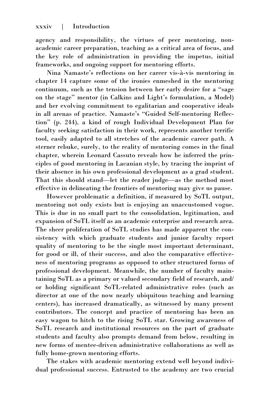agency and responsibility, the virtues of peer mentoring, nonacademic career preparation, teaching as a critical area of focus, and the key role of administration in providing the impetus, initial frameworks, and ongoing support for mentoring efforts.

Nina Namaste's reflections on her career vis-à-vis mentoring in chapter 14 capture some of the ironies enmeshed in the mentoring continuum, such as the tension between her early desire for a "sage on the stage" mentor (in Calkins and Light's formulation, a Model) and her evolving commitment to egalitarian and cooperative ideals in all arenas of practice. Namaste's "Guided Self-mentoring Reflection" (p. 244), a kind of rough Individual Development Plan for faculty seeking satisfaction in their work, represents another terrific tool, easily adapted to all stretches of the academic career path. A sterner rebuke, surely, to the reality of mentoring comes in the final chapter, wherein Leonard Cassuto reveals how he inferred the principles of good mentoring in Lacanian style, by tracing the imprint of their absence in his own professional development as a grad student. That this should stand—let the reader judge—as the method most effective in delineating the frontiers of mentoring may give us pause.

However problematic a definition, if measured by SoTL output, mentoring not only exists but is enjoying an unaccustomed vogue. This is due in no small part to the consolidation, legitimation, and expansion of SoTL itself as an academic enterprise and research area. The sheer proliferation of SoTL studies has made apparent the consistency with which graduate students and junior faculty report quality of mentoring to be the single most important determinant, for good or ill, of their success, and also the comparative effectiveness of mentoring programs as opposed to other structured forms of professional development. Meanwhile, the number of faculty maintaining SoTL as a primary or valued secondary field of research, and/ or holding significant SoTL-related administrative roles (such as director at one of the now nearly ubiquitous teaching and learning centers), has increased dramatically, as witnessed by many present contributors. The concept and practice of mentoring has been an easy wagon to hitch to the rising SoTL star. Growing awareness of SoTL research and institutional resources on the part of graduate students and faculty also prompts demand from below, resulting in new forms of mentee-driven administrative collaborations as well as fully home-grown mentoring efforts.

The stakes with academic mentoring extend well beyond individual professional success. Entrusted to the academy are two crucial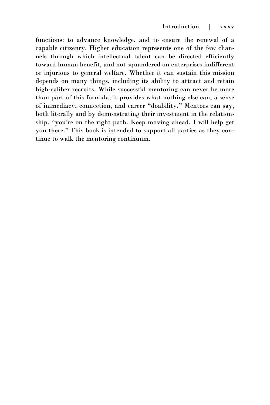functions: to advance knowledge, and to ensure the renewal of a capable citizenry. Higher education represents one of the few channels through which intellectual talent can be directed efficiently toward human benefit, and not squandered on enterprises indifferent or injurious to general welfare. Whether it can sustain this mission depends on many things, including its ability to attract and retain high-caliber recruits. While successful mentoring can never be more than part of this formula, it provides what nothing else can, a sense of immediacy, connection, and career "doability." Mentors can say, both literally and by demonstrating their investment in the relationship, "you're on the right path. Keep moving ahead. I will help get you there." This book is intended to support all parties as they continue to walk the mentoring continuum.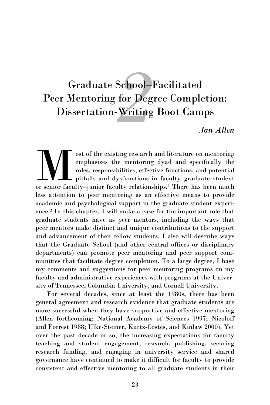# <span id="page-26-0"></span>*2* Graduate School–Facilitated Peer Mentoring for Degree Completion: Dissertation-Writing Boot Camps

*Jan Allen*

ost of the existing research and literature on mentoring<br>emphasizes the mentoring dyad and specifically the<br>roles, responsibilities, effective functions, and potential<br>or senior faculty–junior faculty relationships.<sup>1</sup> The ost of the existing research and literature on mentoring emphasizes the mentoring dyad and specifically the roles, responsibilities, effective functions, and potential pitfalls and dysfunctions in faculty–graduate student less attention to peer mentoring as an effective means to provide academic and psychological support in the graduate student experience.<sup>2</sup> In this chapter, I will make a case for the important role that graduate students have as peer mentors, including the ways that peer mentors make distinct and unique contributions to the support and advancement of their fellow students. I also will describe ways that the Graduate School (and other central offices or disciplinary departments) can promote peer mentoring and peer support communities that facilitate degree completion. To a large degree, I base my comments and suggestions for peer mentoring programs on my faculty and administrative experiences with programs at the University of Tennessee, Columbia University, and Cornell University.

For several decades, since at least the 1980s, there has been general agreement and research evidence that graduate students are more successful when they have supportive and effective mentoring (Allen forthcoming; National Academy of Sciences 1997; Nicoloff and Forrest 1988; Ulke-Steiner, Kurtz-Costes, and Kinlaw 2000). Yet over the past decade or so, the increasing expectations for faculty teaching and student engagement, research, publishing, securing research funding, and engaging in university service and shared governance have continued to make it difficult for faculty to provide consistent and effective mentoring to all graduate students in their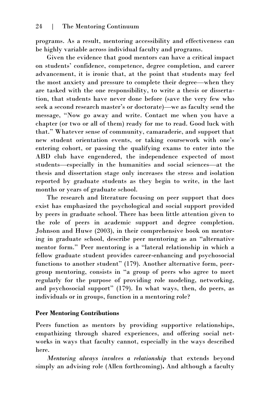programs. As a result, mentoring accessibility and effectiveness can be highly variable across individual faculty and programs.

Given the evidence that good mentors can have a critical impact on students' confidence, competence, degree completion, and career advancement, it is ironic that, at the point that students may feel the most anxiety and pressure to complete their degree—when they are tasked with the one responsibility, to write a thesis or dissertation, that students have never done before (save the very few who seek a second research master's or doctorate)—we as faculty send the message, "Now go away and write. Contact me when you have a chapter (or two or all of them) ready for me to read. Good luck with that." Whatever sense of community, camaraderie, and support that new student orientation events, or taking coursework with one's entering cohort, or passing the qualifying exams to enter into the ABD club have engendered, the independence expected of most students—especially in the humanities and social sciences—at the thesis and dissertation stage only increases the stress and isolation reported by graduate students as they begin to write, in the last months or years of graduate school.

The research and literature focusing on peer support that does exist has emphasized the psychological and social support provided by peers in graduate school. There has been little attention given to the role of peers in academic support and degree completion. Johnson and Huwe (2003), in their comprehensive book on mentoring in graduate school, describe peer mentoring as an "alternative mentor form." Peer mentoring is a "lateral relationship in which a fellow graduate student provides career-enhancing and psychosocial functions to another student" (179). Another alternative form, peergroup mentoring, consists in "a group of peers who agree to meet regularly for the purpose of providing role modeling, networking, and psychosocial support" (179). In what ways, then, do peers, as individuals or in groups, function in a mentoring role?

# **Peer Mentoring Contributions**

Peers function as mentors by providing supportive relationships, empathizing through shared experiences, and offering social networks in ways that faculty cannot, especially in the ways described here.

*Mentoring always involves a relationship* that extends beyond simply an advising role (Allen forthcoming)**.** And although a faculty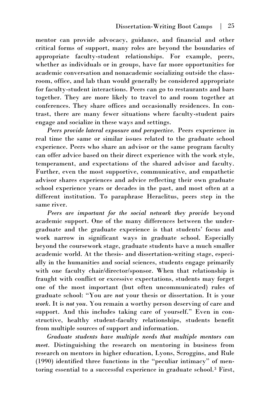mentor can provide advocacy, guidance, and financial and other critical forms of support, many roles are beyond the boundaries of appropriate faculty-student relationships. For example, peers, whether as individuals or in groups, have far more opportunities for academic conversation and nonacademic socializing outside the classroom, office, and lab than would generally be considered appropriate for faculty-student interactions. Peers can go to restaurants and bars together. They are more likely to travel to and room together at conferences. They share offices and occasionally residences. In contrast, there are many fewer situations where faculty-student pairs engage and socialize in these ways and settings.

*Peers provide lateral exposure and perspective.* Peers experience in real time the same or similar issues related to the graduate school experience. Peers who share an advisor or the same program faculty can offer advice based on their direct experience with the work style, temperament, and expectations of the shared advisor and faculty. Further, even the most supportive, communicative, and empathetic advisor shares experiences and advice reflecting their own graduate school experience years or decades in the past, and most often at a different institution. To paraphrase Heraclitus, peers step in the same river.

*Peers are important for the social network they provide* beyond academic support. One of the many differences between the undergraduate and the graduate experience is that students' focus and work narrow in significant ways in graduate school. Especially beyond the coursework stage, graduate students have a much smaller academic world. At the thesis- and dissertation-writing stage, especially in the humanities and social sciences, students engage primarily with one faculty chair/director/sponsor. When that relationship is fraught with conflict or excessive expectations, students may forget one of the most important (but often uncommunicated) rules of graduate school: "You are *not* your thesis or dissertation. It is your *work*. It is *not you*. You remain a worthy person deserving of care and support. And this includes taking care of yourself." Even in constructive, healthy student-faculty relationships, students benefit from multiple sources of support and information.

*Graduate students have multiple needs that multiple mentors can meet.* Distinguishing the research on mentoring in business from research on mentors in higher education, Lyons, Scroggins, and Rule (1990) identified three functions in the "peculiar intimacy" of mentoring essential to a successful experience in graduate school.<sup>3</sup> First,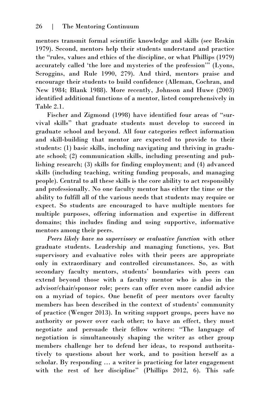mentors transmit formal scientific knowledge and skills (see Reskin 1979). Second, mentors help their students understand and practice the "rules, values and ethics of the discipline, or what Phillips (1979) accurately called 'the lore and mysteries of the profession'" (Lyons, Scroggins, and Rule 1990, 279). And third, mentors praise and encourage their students to build confidence (Alleman, Cochran, and New 1984; Blank 1988). More recently, Johnson and Huwe (2003) identified additional functions of a mentor, listed comprehensively in Table 2.1.

Fischer and Zigmond (1998) have identified four areas of "survival skills" that graduate students must develop to succeed in graduate school and beyond. All four categories reflect information and skill-building that mentor are expected to provide to their students: (1) basic skills, including navigating and thriving in graduate school; (2) communication skills, including presenting and publishing research; (3) skills for finding employment; and (4) advanced skills (including teaching, writing funding proposals, and managing people). Central to all these skills is the core ability to act responsibly and professionally. No one faculty mentor has either the time or the ability to fulfill all of the various needs that students may require or expect. So students are encouraged to have multiple mentors for multiple purposes, offering information and expertise in different domains; this includes finding and using supportive, informative mentors among their peers.

*Peers likely have no supervisory or evaluative function* with other graduate students. Leadership and managing functions, yes. But supervisory and evaluative roles with their peers are appropriate only in extraordinary and controlled circumstances. So, as with secondary faculty mentors, students' boundaries with peers can extend beyond those with a faculty mentor who is also in the advisor/chair/sponsor role; peers can offer even more candid advice on a myriad of topics. One benefit of peer mentors over faculty members has been described in the context of students' community of practice (Wenger 2013). In writing support groups, peers have no authority or power over each other; to have an effect, they must negotiate and persuade their fellow writers: "The language of negotiation is simultaneously shaping the writer as other group members challenge her to defend her ideas, to respond authoritatively to questions about her work, and to position herself as a scholar. By responding … a writer is practicing for later engagement with the rest of her discipline" (Phillips 2012, 6). This safe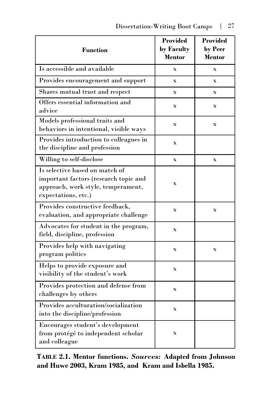| <b>Function</b>                                                                                                                      | <b>Provided</b><br>by Faculty<br>Mentor | <b>Provided</b><br>by Peer<br><b>Mentor</b> |
|--------------------------------------------------------------------------------------------------------------------------------------|-----------------------------------------|---------------------------------------------|
| Is accessible and available                                                                                                          | $\mathbf x$                             | $\mathbf x$                                 |
| Provides encouragement and support                                                                                                   | $\mathbf x$                             | $\overline{\mathbf{x}}$                     |
| Shares mutual trust and respect                                                                                                      | $\mathbf x$                             | $\mathbf x$                                 |
| Offers essential information and<br>advice                                                                                           | $\mathbf X$                             | $\mathbf x$                                 |
| Models professional traits and<br>behaviors in intentional, visible ways                                                             | $\mathbf X$                             | $\mathbf x$                                 |
| Provides introduction to colleagues in<br>the discipline and profession                                                              | $\mathbf X$                             |                                             |
| Willing to self-disclose                                                                                                             | $\mathbf x$                             | $\overline{\mathbf{x}}$                     |
| Is selective based on match of<br>important factors (research topic and<br>approach, work style, temperament,<br>expectations, etc.) | $\mathbf X$                             |                                             |
| Provides constructive feedback,<br>evaluation, and appropriate challenge                                                             | $\mathbf x$                             | $\mathbf x$                                 |
| Advocates for student in the program,<br>field, discipline, profession                                                               | $\mathbf X$                             |                                             |
| Provides help with navigating<br>program politics                                                                                    | $\mathbf X$                             | $\overline{\mathbf{X}}$                     |
| Helps to provide exposure and<br>visibility of the student's work                                                                    | $\mathbf X$                             |                                             |
| Provides protection and defense from<br>challenges by others                                                                         | $\mathbf X$                             |                                             |
| Provides acculturation/socialization<br>into the discipline/profession                                                               | $\mathbf X$                             |                                             |
| Encourages student's development<br>from protégé to independent scholar<br>and colleague                                             | $\mathbf X$                             |                                             |

**TABLE 2.1. Mentor functions.** *Sources:* **Adapted from Johnson and Huwe 2003, Kram 1985, and Kram and Isbella 1985.**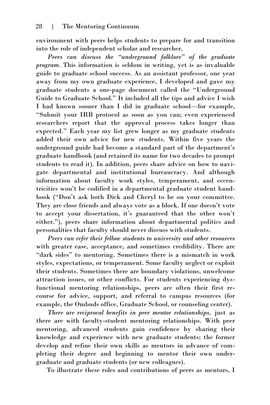environment with peers helps students to prepare for and transition into the role of independent scholar and researcher.

*Peers can discuss the "underground folklore" of the graduate program.* This information is seldom in writing, yet is as invaluable guide to graduate school success. As an assistant professor, one year away from my own graduate experience, I developed and gave my graduate students a one-page document called the "Underground Guide to Graduate School." It included all the tips and advice I wish I had known sooner than I did in graduate school—for example, "Submit your IRB protocol as soon as you can; even experienced researchers report that the approval process takes longer than expected." Each year my list grew longer as my graduate students added their own advice for new students. Within five years the underground guide had become a standard part of the department's graduate handbook (and retained its name for two decades to prompt students to read it). In addition, peers share advice on how to navigate departmental and institutional bureaucracy. And although information about faculty work styles, temperament, and eccentricities won't be codified in a departmental graduate student handbook ("Don't ask both Dick and Cheryl to be on your committee. They are close friends and always vote as a block. If one doesn't vote to accept your dissertation, it's guaranteed that the other won't either."), peers share information about departmental politics and personalities that faculty should never discuss with students.

*Peers can refer their fellow students to university and other resources* with greater ease, acceptance, and sometimes credibility. There are "dark sides" to mentoring. Sometimes there is a mismatch in work styles, expectations, or temperament. Some faculty neglect or exploit their students. Sometimes there are boundary violations, unwelcome attraction issues, or other conflicts. For students experiencing dysfunctional mentoring relationships, peers are often their first recourse for advice, support, and referral to campus resources (for example, the Ombuds office, Graduate School, or counseling center).

*There are reciprocal benefits in peer mentor relationships,* just as there are with faculty-student mentoring relationships. With peer mentoring, advanced students gain confidence by sharing their knowledge and experience with new graduate students; the former develop and refine their own skills as mentors in advance of completing their degree and beginning to mentor their own undergraduate and graduate students (or new colleagues).

To illustrate these roles and contributions of peers as mentors, I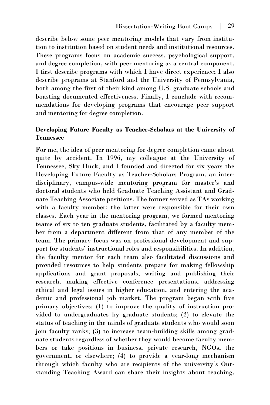describe below some peer mentoring models that vary from institution to institution based on student needs and institutional resources. These programs focus on academic success, psychological support, and degree completion, with peer mentoring as a central component. I first describe programs with which I have direct experience; I also describe programs at Stanford and the University of Pennsylvania, both among the first of their kind among U.S. graduate schools and boasting documented effectiveness. Finally, I conclude with recommendations for developing programs that encourage peer support and mentoring for degree completion.

### **Developing Future Faculty as Teacher-Scholars at the University of Tennessee**

For me, the idea of peer mentoring for degree completion came about quite by accident. In 1996, my colleague at the University of Tennessee, Sky Huck, and I founded and directed for six years the Developing Future Faculty as Teacher-Scholars Program, an interdisciplinary, campus-wide mentoring program for master's and doctoral students who held Graduate Teaching Assistant and Graduate Teaching Associate positions. The former served as TAs working with a faculty member; the latter were responsible for their own classes. Each year in the mentoring program, we formed mentoring teams of six to ten graduate students, facilitated by a faculty member from a department different from that of any member of the team. The primary focus was on professional development and support for students' instructional roles and responsibilities. In addition, the faculty mentor for each team also facilitated discussions and provided resources to help students prepare for making fellowship applications and grant proposals, writing and publishing their research, making effective conference presentations, addressing ethical and legal issues in higher education, and entering the academic and professional job market. The program began with five primary objectives: (1) to improve the quality of instruction provided to undergraduates by graduate students; (2) to elevate the status of teaching in the minds of graduate students who would soon join faculty ranks; (3) to increase team-building skills among graduate students regardless of whether they would become faculty members or take positions in business, private research, NGOs, the government, or elsewhere; (4) to provide a year-long mechanism through which faculty who are recipients of the university's Outstanding Teaching Award can share their insights about teaching,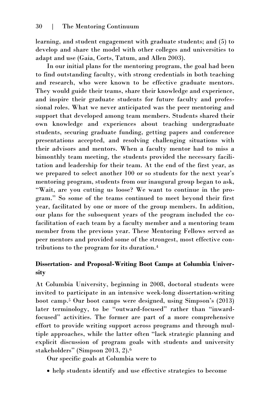learning, and student engagement with graduate students; and (5) to develop and share the model with other colleges and universities to adapt and use (Gaia, Corts, Tatum, and Allen 2003).

In our initial plans for the mentoring program, the goal had been to find outstanding faculty, with strong credentials in both teaching and research, who were known to be effective graduate mentors. They would guide their teams, share their knowledge and experience, and inspire their graduate students for future faculty and professional roles. What we never anticipated was the peer mentoring and support that developed among team members. Students shared their own knowledge and experiences about teaching undergraduate students, securing graduate funding, getting papers and conference presentations accepted, and resolving challenging situations with their advisors and mentors. When a faculty mentor had to miss a bimonthly team meeting, the students provided the necessary facilitation and leadership for their team. At the end of the first year, as we prepared to select another 100 or so students for the next year's mentoring program, students from our inaugural group began to ask, "Wait, are you cutting us loose? We want to continue in the program." So some of the teams continued to meet beyond their first year, facilitated by one or more of the group members. In addition, our plans for the subsequent years of the program included the cofacilitation of each team by a faculty member and a mentoring team member from the previous year. These Mentoring Fellows served as peer mentors and provided some of the strongest, most effective contributions to the program for its duration.<sup>4</sup>

# **Dissertation- and Proposal-Writing Boot Camps at Columbia University**

At Columbia University, beginning in 2008, doctoral students were invited to participate in an intensive week-long dissertation-writing boot camp.<sup>5</sup> Our boot camps were designed, using Simpson's (2013) later terminology, to be "outward-focused" rather than "inwardfocused" activities. The former are part of a more comprehensive effort to provide writing support across programs and through multiple approaches, while the latter often "lack strategic planning and explicit discussion of program goals with students and university stakeholders" (Simpson 2013, 2).<sup>6</sup>

Our specific goals at Columbia were to

help students identify and use effective strategies to become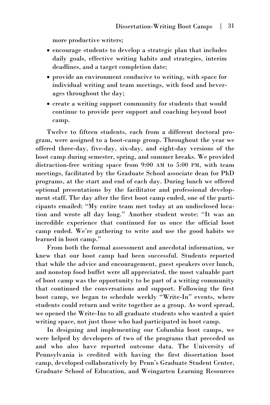more productive writers;

- encourage students to develop a strategic plan that includes daily goals, effective writing habits and strategies, interim deadlines, and a target completion date;
- provide an environment conducive to writing, with space for individual writing and team meetings, with food and beverages throughout the day;
- create a writing support community for students that would continue to provide peer support and coaching beyond boot camp.

Twelve to fifteen students, each from a different doctoral program, were assigned to a boot-camp group. Throughout the year we offered three-day, five-day, six-day, and eight-day versions of the boot camp during semester, spring, and summer breaks. We provided distraction-free writing space from 9:00 AM to 5:00 PM, with team meetings, facilitated by the Graduate School associate dean for PhD programs, at the start and end of each day. During lunch we offered optional presentations by the facilitator and professional development staff. The day after the first boot camp ended, one of the participants emailed: "My entire team met today at an undisclosed location and wrote all day long." Another student wrote: "It was an incredible experience that continued for us once the official boot camp ended. We're gathering to write and use the good habits we learned in boot camp."

From both the formal assessment and anecdotal information, we knew that our boot camp had been successful. Students reported that while the advice and encouragement, guest speakers over lunch, and nonstop food buffet were all appreciated, the most valuable part of boot camp was the opportunity to be part of a writing community that continued the conversations and support. Following the first boot camp, we began to schedule weekly "Write-In" events, where students could return and write together as a group. As word spread, we opened the Write-Ins to all graduate students who wanted a quiet writing space, not just those who had participated in boot camp.

In designing and implementing our Columbia boot camps, we were helped by developers of two of the programs that preceded us and who also have reported outcome data. The University of Pennsylvania is credited with having the first dissertation boot camp, developed collaboratively by Penn's Graduate Student Center, Graduate School of Education, and Weingarten Learning Resources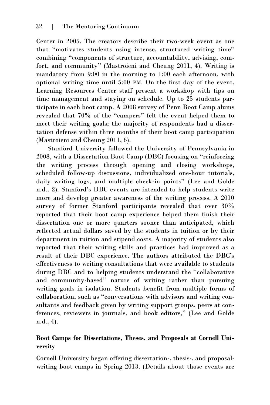Center in 2005. The creators describe their two-week event as one that "motivates students using intense, structured writing time" combining "components of structure, accountability, advising, comfort, and community" (Mastroieni and Cheung 2011, 4). Writing is mandatory from 9:00 in the morning to 1:00 each afternoon, with optional writing time until 5:00 PM. On the first day of the event, Learning Resources Center staff present a workshop with tips on time management and staying on schedule. Up to 25 students participate in each boot camp. A 2008 survey of Penn Boot Camp alums revealed that 70% of the "campers" felt the event helped them to meet their writing goals; the majority of respondents had a dissertation defense within three months of their boot camp participation (Mastroieni and Cheung 2011, 6).

Stanford University followed the University of Pennsylvania in 2008, with a Dissertation Boot Camp (DBC) focusing on "reinforcing the writing process through opening and closing workshops, scheduled follow-up discussions, individualized one-hour tutorials, daily writing logs, and multiple check-in points" (Lee and Golde n.d., 2). Stanford's DBC events are intended to help students write more and develop greater awareness of the writing process. A 2010 survey of former Stanford participants revealed that over 30% reported that their boot camp experience helped them finish their dissertation one or more quarters sooner than anticipated, which reflected actual dollars saved by the students in tuition or by their department in tuition and stipend costs. A majority of students also reported that their writing skills and practices had improved as a result of their DBC experience. The authors attributed the DBC's effectiveness to writing consultations that were available to students during DBC and to helping students understand the "collaborative and community-based" nature of writing rather than pursuing writing goals in isolation. Students benefit from multiple forms of collaboration, such as "conversations with advisors and writing consultants and feedback given by writing support groups, peers at conferences, reviewers in journals, and book editors," (Lee and Golde n.d., 4).

# **Boot Camps for Dissertations, Theses, and Proposals at Cornell University**

Cornell University began offering dissertation-, thesis-, and proposalwriting boot camps in Spring 2013. (Details about those events are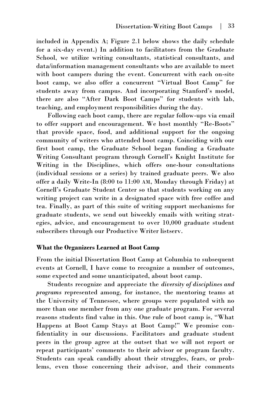included in Appendix A; Figure 2.1 below shows the daily schedule for a six-day event.) In addition to facilitators from the Graduate School, we utilize writing consultants, statistical consultants, and data/information management consultants who are available to meet with boot campers during the event. Concurrent with each on-site boot camp, we also offer a concurrent "Virtual Boot Camp" for students away from campus. And incorporating Stanford's model, there are also "After Dark Boot Camps" for students with lab, teaching, and employment responsibilities during the day.

Following each boot camp, there are regular follow-ups via email to offer support and encouragement. We host monthly "Re-Boots" that provide space, food, and additional support for the ongoing community of writers who attended boot camp. Coinciding with our first boot camp, the Graduate School began funding a Graduate Writing Consultant program through Cornell's Knight Institute for Writing in the Disciplines, which offers one-hour consultations (individual sessions or a series) by trained graduate peers. We also offer a daily Write-In (8:00 to 11:00 AM, Monday through Friday) at Cornell's Graduate Student Center so that students working on any writing project can write in a designated space with free coffee and tea. Finally, as part of this suite of writing support mechanisms for graduate students, we send out biweekly emails with writing strategies, advice, and encouragement to over 10,000 graduate student subscribers through our Productive Writer listserv.

#### **What the Organizers Learned at Boot Camp**

From the initial Dissertation Boot Camp at Columbia to subsequent events at Cornell, I have come to recognize a number of outcomes, some expected and some unanticipated, about boot camp.

Students recognize and appreciate the *diversity of disciplines and programs* represented among, for instance, the mentoring teams at the University of Tennessee, where groups were populated with no more than one member from any one graduate program. For several reasons students find value in this. One rule of boot camp is, "What Happens at Boot Camp Stays at Boot Camp!" We promise confidentiality in our discussions. Facilitators and graduate student peers in the group agree at the outset that we will not report or repeat participants' comments to their advisor or program faculty. Students can speak candidly about their struggles, fears, or problems, even those concerning their advisor, and their comments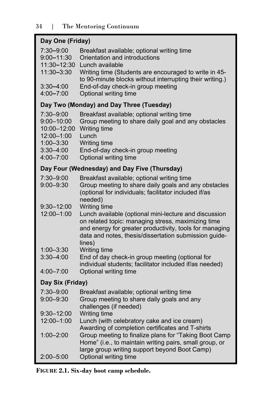| Day One (Friday)                                                                                        |                                                                                                                                                                                                                                                                      |  |  |
|---------------------------------------------------------------------------------------------------------|----------------------------------------------------------------------------------------------------------------------------------------------------------------------------------------------------------------------------------------------------------------------|--|--|
| 7:30-9:00<br>9:00-11:30<br>11:30-12:30<br>11:30-3:30                                                    | Breakfast available; optional writing time<br>Orientation and introductions<br>Lunch available<br>Writing time (Students are encouraged to write in 45-<br>to 90-minute blocks without interrupting their writing.)                                                  |  |  |
| 3:30–4:00<br>4:00-7:00                                                                                  | End-of-day check-in group meeting<br>Optional writing time                                                                                                                                                                                                           |  |  |
|                                                                                                         | Day Two (Monday) and Day Three (Tuesday)                                                                                                                                                                                                                             |  |  |
| 7:30-9:00<br>9:00-10:00<br>10:00-12:00<br>12:00-1:00<br>$1:00 - 3:30$<br>$3:30 - 4:00$<br>$4:00 - 7:00$ | Breakfast available; optional writing time<br>Group meeting to share daily goal and any obstacles<br><b>Writing time</b><br>Lunch<br>Writing time<br>End-of-day check-in group meeting<br>Optional writing time                                                      |  |  |
|                                                                                                         | Day Four (Wednesday) and Day Five (Thursday)                                                                                                                                                                                                                         |  |  |
| 7:30-9:00<br>$9:00 - 9:30$                                                                              | Breakfast available; optional writing time<br>Group meeting to share daily goals and any obstacles<br>(optional for individuals; facilitator included if/as<br>needed)                                                                                               |  |  |
| 9:30-12:00<br>12:00-1:00                                                                                | Writing time<br>Lunch available (optional mini-lecture and discussion<br>on related topic: managing stress, maximizing time<br>and energy for greater productivity, tools for managing<br>data and notes, thesis/dissertation submission guide-<br>lines)            |  |  |
| $1:00 - 3:30$                                                                                           | Writing time                                                                                                                                                                                                                                                         |  |  |
| 3:30–4:00                                                                                               | End of day check-in group meeting (optional for<br>individual students; facilitator included if/as needed)                                                                                                                                                           |  |  |
| 4:00-7:00                                                                                               | Optional writing time                                                                                                                                                                                                                                                |  |  |
| Day Six (Friday)                                                                                        |                                                                                                                                                                                                                                                                      |  |  |
| 7:30-9:00<br>$9:00 - 9:30$                                                                              | Breakfast available; optional writing time<br>Group meeting to share daily goals and any<br>challenges (if needed)                                                                                                                                                   |  |  |
| 9:30–12:00                                                                                              | Writing time                                                                                                                                                                                                                                                         |  |  |
| 12:00-1:00<br>1:00-2:00                                                                                 | Lunch (with celebratory cake and ice cream)<br>Awarding of completion certificates and T-shirts<br>Group meeting to finalize plans for "Taking Boot Camp<br>Home" (i.e., to maintain writing pairs, small group, or<br>large group writing support beyond Boot Camp) |  |  |
| $2:00 - 5:00$                                                                                           | Optional writing time                                                                                                                                                                                                                                                |  |  |

# **FIGURE 2.1. Six-day boot camp schedule.**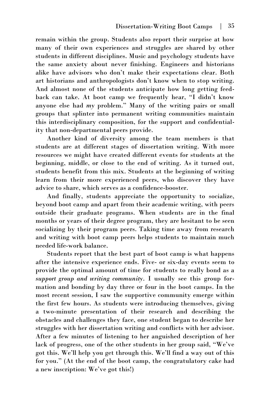remain within the group. Students also report their surprise at how many of their own experiences and struggles are shared by other students in different disciplines. Music and psychology students have the same anxiety about never finishing. Engineers and historians alike have advisors who don't make their expectations clear. Both art historians and anthropologists don't know when to stop writing. And almost none of the students anticipate how long getting feedback can take. At boot camp we frequently hear, "I didn't know anyone else had *my* problem." Many of the writing pairs or small groups that splinter into permanent writing communities maintain this interdisciplinary composition, for the support and confidentiality that non-departmental peers provide.

Another kind of diversity among the team members is that students are at different stages of dissertation writing. With more resources we might have created different events for students at the beginning, middle, or close to the end of writing. As it turned out, students benefit from this mix. Students at the beginning of writing learn from their more experienced peers, who discover they have advice to share, which serves as a confidence-booster.

And finally, students appreciate the opportunity to socialize, beyond boot camp and apart from their academic writing, with peers outside their graduate programs. When students are in the final months or years of their degree program, they are hesitant to be seen socializing by their program peers. Taking time away from research and writing with boot camp peers helps students to maintain much needed life-work balance.

Students report that the best part of boot camp is what happens after the intensive experience ends. Five- or six-day events seem to provide the optimal amount of time for students to really bond as a *support group and writing community*. I usually see this group formation and bonding by day three or four in the boot camps. In the most recent session, I saw the supportive community emerge within the first few hours. As students were introducing themselves, giving a two-minute presentation of their research and describing the obstacles and challenges they face, one student began to describe her struggles with her dissertation writing and conflicts with her advisor. After a few minutes of listening to her anguished description of her lack of progress, one of the other students in her group said, "We've got this. We'll help you get through this. We'll find a way out of this for you." (At the end of the boot camp, the congratulatory cake had a new inscription: We've got this!)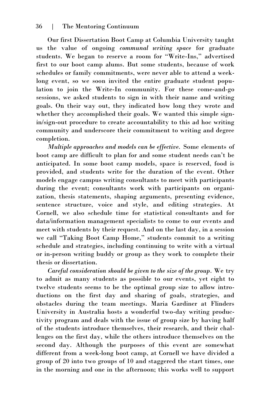Our first Dissertation Boot Camp at Columbia University taught us the value of ongoing *communal writing space* for graduate students. We began to reserve a room for "Write-Ins," advertised first to our boot camp alums. But some students, because of work schedules or family commitments, were never able to attend a weeklong event, so we soon invited the entire graduate student population to join the Write-In community. For these come-and-go sessions, we asked students to sign in with their name and writing goals. On their way out, they indicated how long they wrote and whether they accomplished their goals. We wanted this simple signin/sign-out procedure to create accountability to this ad hoc writing community and underscore their commitment to writing and degree completion.

*Multiple approaches and models can be effective.* Some elements of boot camp are difficult to plan for and some student needs can't be anticipated. In some boot camp models, space is reserved, food is provided, and students write for the duration of the event. Other models engage campus writing consultants to meet with participants during the event; consultants work with participants on organization, thesis statements, shaping arguments, presenting evidence, sentence structure, voice and style, and editing strategies. At Cornell, we also schedule time for statistical consultants and for data/information management specialists to come to our events and meet with students by their request. And on the last day, in a session we call "Taking Boot Camp Home," students commit to a writing schedule and strategies, including continuing to write with a virtual or in-person writing buddy or group as they work to complete their thesis or dissertation.

*Careful consideration should be given to the size of the group.* We try to admit as many students as possible to our events, yet eight to twelve students seems to be the optimal group size to allow introductions on the first day and sharing of goals, strategies, and obstacles during the team meetings. Maria Gardiner at Flinders University in Australia hosts a wonderful two-day writing productivity program and deals with the issue of group size by having half of the students introduce themselves, their research, and their challenges on the first day, while the others introduce themselves on the second day. Although the purposes of this event are somewhat different from a week-long boot camp, at Cornell we have divided a group of 20 into two groups of 10 and staggered the start times, one in the morning and one in the afternoon; this works well to support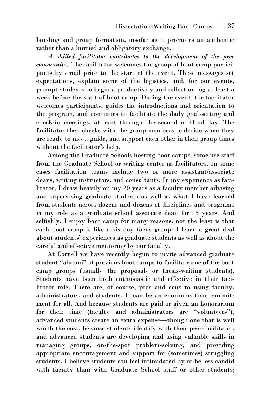bonding and group formation, insofar as it promotes an authentic rather than a hurried and obligatory exchange.

*A skilled facilitator contributes to the development of the peer community.* The facilitator welcomes the group of boot camp participants by email prior to the start of the event. These messages set expectations, explain some of the logistics, and, for our events, prompt students to begin a productivity and reflection log at least a week before the start of boot camp. During the event, the facilitator welcomes participants, guides the introductions and orientation to the program, and continues to facilitate the daily goal-setting and check-in meetings, at least through the second or third day. The facilitator then checks with the group members to decide when they are ready to meet, guide, and support each other in their group times without the facilitator's help.

Among the Graduate Schools hosting boot camps, some use staff from the Graduate School or writing center as facilitators. In some cases facilitation teams include two or more assistant/associate deans, writing instructors, and consultants. In my experience as facilitator, I draw heavily on my 20 years as a faculty member advising and supervising graduate students as well as what I have learned from students across dozens and dozens of disciplines and programs in my role as a graduate school associate dean for 15 years. And selfishly, I enjoy boot camp for many reasons, not the least is that each boot camp is like a six-day focus group: I learn a great deal about students' experiences as graduate students as well as about the careful and effective mentoring by our faculty.

At Cornell we have recently begun to invite advanced graduate student "alumni" of previous boot camps to facilitate one of the boot camp groups (usually the proposal- or thesis-writing students). Students have been both enthusiastic and effective in their facilitator role. There are, of course, pros and cons to using faculty, administrators, and students. It can be an enormous time commitment for all. And because students are paid or given an honorarium for their time (faculty and administrators are "volunteers"), advanced students create an extra expense—though one that is well worth the cost, because students identify with their peer-facilitator, and advanced students are developing and using valuable skills in managing groups, on-the-spot problem-solving, and providing appropriate encouragement and support for (sometimes) struggling students. I believe students can feel intimidated by or be less candid with faculty than with Graduate School staff or other students;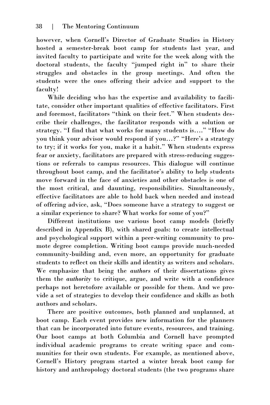however, when Cornell's Director of Graduate Studies in History hosted a semester-break boot camp for students last year, and invited faculty to participate and write for the week along with the doctoral students, the faculty "jumped right in" to share their struggles and obstacles in the group meetings. And often the students were the ones offering their advice and support to the faculty!

While deciding who has the expertise and availability to facilitate, consider other important qualities of effective facilitators. First and foremost, facilitators "think on their feet." When students describe their challenges, the facilitator responds with a solution or strategy. "I find that what works for many students is…." "How do you think your advisor would respond if you…?" "Here's a strategy to try; if it works for you, make it a habit." When students express fear or anxiety, facilitators are prepared with stress-reducing suggestions or referrals to campus resources. This dialogue will continue throughout boot camp, and the facilitator's ability to help students move forward in the face of anxieties and other obstacles is one of the most critical, and daunting, responsibilities. Simultaneously, effective facilitators are able to hold back when needed and instead of offering advice, ask, "Does someone have a strategy to suggest or a similar experience to share? What works for some of you?"

Different institutions use various boot camp models (briefly described in Appendix B), with shared goals: to create intellectual and psychological support within a peer-writing community to promote degree completion. Writing boot camps provide much-needed community-building and, even more, an opportunity for graduate students to reflect on their skills and identity as writers and scholars. We emphasize that being the *authors* of their dissertations gives them the *authority* to critique, argue, and write with a confidence perhaps not heretofore available or possible for them. And we provide a set of strategies to develop their confidence and skills as both authors and scholars.

There are positive outcomes, both planned and unplanned, at boot camp. Each event provides new information for the planners that can be incorporated into future events, resources, and training. Our boot camps at both Columbia and Cornell have prompted individual academic programs to create writing space and communities for their own students. For example, as mentioned above, Cornell's History program started a winter break boot camp for history and anthropology doctoral students (the two programs share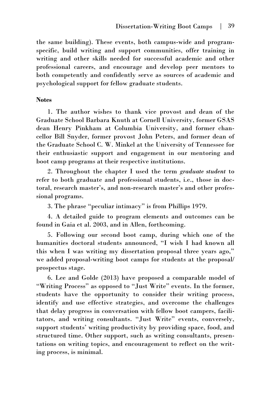the same building). These events, both campus-wide and programspecific, build writing and support communities, offer training in writing and other skills needed for successful academic and other professional careers, and encourage and develop peer mentors to both competently and confidently serve as sources of academic and psychological support for fellow graduate students.

#### **Notes**

1. The author wishes to thank vice provost and dean of the Graduate School Barbara Knuth at Cornell University, former GSAS dean Henry Pinkham at Columbia University, and former chancellor Bill Snyder, former provost John Peters, and former dean of the Graduate School C. W. Minkel at the University of Tennessee for their enthusiastic support and engagement in our mentoring and boot camp programs at their respective institutions.

2. Throughout the chapter I used the term *graduate student* to refer to both graduate and professional students, i.e., those in doctoral, research master's, and non-research master's and other professional programs.

3. The phrase "peculiar intimacy" is from Phillips 1979.

4. A detailed guide to program elements and outcomes can be found in Gaia et al. 2003, and in Allen, forthcoming.

5. Following our second boot camp, during which one of the humanities doctoral students announced, "I wish I had known all this when I was writing my dissertation proposal three years ago," we added proposal-writing boot camps for students at the proposal/ prospectus stage.

6. Lee and Golde (2013) have proposed a comparable model of "Writing Process" as opposed to "Just Write" events. In the former, students have the opportunity to consider their writing process, identify and use effective strategies, and overcome the challenges that delay progress in conversation with fellow boot campers, facilitators, and writing consultants. "Just Write" events, conversely, support students' writing productivity by providing space, food, and structured time. Other support, such as writing consultants, presentations on writing topics, and encouragement to reflect on the writing process, is minimal.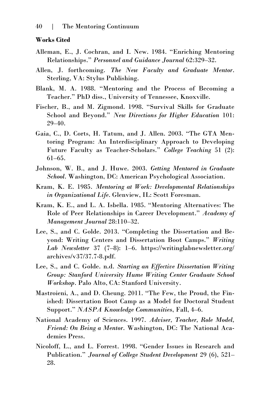#### **Works Cited**

- Alleman, E., J. Cochran, and I. New. 1984. "Enriching Mentoring Relationships." *Personnel and Guidance Journal* 62:329–32.
- Allen, J. forthcoming. *The New Faculty and Graduate Mentor*. Sterling, VA: Stylus Publishing.
- Blank, M. A. 1988. "Mentoring and the Process of Becoming a Teacher." PhD diss., University of Tennessee, Knoxville.
- Fischer, B., and M. Zigmond. 1998. "Survival Skills for Graduate School and Beyond." *New Directions for Higher Education* 101: 29–40.
- Gaia, C., D. Corts, H. Tatum, and J. Allen. 2003. "The GTA Mentoring Program: An Interdisciplinary Approach to Developing Future Faculty as Teacher-Scholars." *College Teaching* 51 (2): 61–65.
- Johnson, W. B., and J. Huwe. 2003. *Getting Mentored in Graduate School*. Washington, DC: American Psychological Association.
- Kram, K. E. 1985. *Mentoring at Work: Developmental Relationships in Organizational Life*. Glenview, IL: Scott Foresman.
- Kram, K. E., and L. A. Isbella. 1985. "Mentoring Alternatives: The Role of Peer Relationships in Career Development." *Academy of Management Journal* 28:110–32.
- Lee, S., and C. Golde. 2013. "Completing the Dissertation and Beyond: Writing Centers and Dissertation Boot Camps." *Writing Lab Newsletter* 37 (7–8): 1–6. https://writinglabnewsletter.org/ archives/v37/37.7-8.pdf.
- Lee, S., and C. Golde. n.d. *Starting an Effective Dissertation Writing Group: Stanford University Hume Writing Center Graduate School Workshop*. Palo Alto, CA: Stanford University.
- Mastroieni, A., and D. Cheung. 2011. "The Few, the Proud, the Finished: Dissertation Boot Camp as a Model for Doctoral Student Support." *NASPA Knowledge Communities*, Fall, 4–6.
- National Academy of Sciences. 1997. *Adviser, Teacher, Role Model, Friend: On Being a Mentor*. Washington, DC: The National Academies Press.
- Nicoloff, L., and L. Forrest. 1998. "Gender Issues in Research and Publication." *Journal of College Student Development* 29 (6), 521– 28.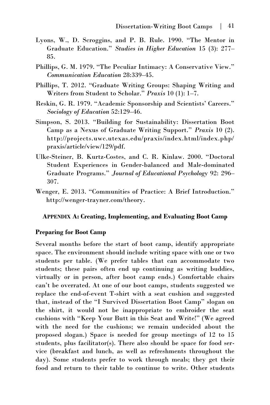- Lyons, W., D. Scroggins, and P. B. Rule. 1990. "The Mentor in Graduate Education." *Studies in Higher Education* 15 (3): 277– 85.
- Phillips, G. M. 1979. "The Peculiar Intimacy: A Conservative View." *Communication Education* 28:339–45.
- Phillips, T. 2012. "Graduate Writing Groups: Shaping Writing and Writers from Student to Scholar." *Praxis* 10 (1): 1–7.
- Reskin, G. R. 1979. "Academic Sponsorship and Scientists' Careers." *Sociology of Education* 52:129–46.
- Simpson, S. 2013. "Building for Sustainability: Dissertation Boot Camp as a Nexus of Graduate Writing Support." *Praxis* 10 (2). http://projects.uwc.utexas.edu/praxis/index.html/index.php/ praxis/article/view/129/pdf.
- Ulke-Steiner, B. Kurtz-Costes, and C. R. Kinlaw. 2000. "Doctoral Student Experiences in Gender-balanced and Male-dominated Graduate Programs." *Journal of Educational Psychology* 92: 296– 307.
- Wenger, E. 2013. "Communities of Practice: A Brief Introduction." http://wenger-trayner.com/theory.

#### **APPENDIX A: Creating, Implementing, and Evaluating Boot Camp**

#### **Preparing for Boot Camp**

Several months before the start of boot camp, identify appropriate space. The environment should include writing space with one or two students per table. (We prefer tables that can accommodate two students; these pairs often end up continuing as writing buddies, virtually or in person, after boot camp ends.) Comfortable chairs can't be overrated. At one of our boot camps, students suggested we replace the end-of-event T-shirt with a seat cushion and suggested that, instead of the "I Survived Dissertation Boot Camp" slogan on the shirt, it would not be inappropriate to embroider the seat cushions with "Keep Your Butt in this Seat and Write!" (We agreed with the need for the cushions; we remain undecided about the proposed slogan.) Space is needed for group meetings of 12 to 15 students, plus facilitator(s). There also should be space for food service (breakfast and lunch, as well as refreshments throughout the day). Some students prefer to work through meals; they get their food and return to their table to continue to write. Other students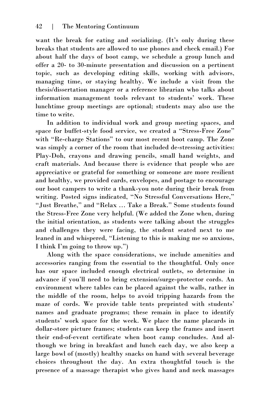want the break for eating and socializing. (It's only during these breaks that students are allowed to use phones and check email.) For about half the days of boot camp, we schedule a group lunch and offer a 20- to 30-minute presentation and discussion on a pertinent topic, such as developing editing skills, working with advisors, managing time, or staying healthy. We include a visit from the thesis/dissertation manager or a reference librarian who talks about information management tools relevant to students' work. These lunchtime group meetings are optional; students may also use the time to write.

In addition to individual work and group meeting spaces, and space for buffet-style food service, we created a "Stress-Free Zone" with "Re-charge Stations" to our most recent boot camp. The Zone was simply a corner of the room that included de-stressing activities: Play-Doh, crayons and drawing pencils, small hand weights, and craft materials. And because there is evidence that people who are appreciative or grateful for something or someone are more resilient and healthy, we provided cards, envelopes, and postage to encourage our boot campers to write a thank-you note during their break from writing. Posted signs indicated, "No Stressful Conversations Here," "Just Breathe," and "Relax … Take a Break." Some students found the Stress-Free Zone very helpful. (We added the Zone when, during the initial orientation, as students were talking about the struggles and challenges they were facing, the student seated next to me leaned in and whispered, "Listening to this is making me so anxious, I think I'm going to throw up.")

Along with the space considerations, we include amenities and accessories ranging from the essential to the thoughtful. Only once has our space included enough electrical outlets, so determine in advance if you'll need to bring extension/surge-protector cords. An environment where tables can be placed against the walls, rather in the middle of the room, helps to avoid tripping hazards from the maze of cords. We provide table tents preprinted with students' names and graduate programs; these remain in place to identify students' work space for the week. We place the name placards in dollar-store picture frames; students can keep the frames and insert their end-of-event certificate when boot camp concludes. And although we bring in breakfast and lunch each day, we also keep a large bowl of (mostly) healthy snacks on hand with several beverage choices throughout the day. An extra thoughtful touch is the presence of a massage therapist who gives hand and neck massages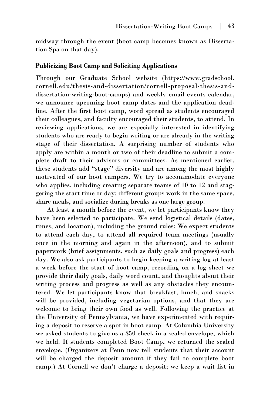midway through the event (boot camp becomes known as Dissertation Spa on that day).

#### **Publicizing Boot Camp and Soliciting Applications**

Through our Graduate School website ([https://www.gradschool.](https://www.gradschool.cornell.edu/thesis-and-dissertation/cornell-proposal-thesis-and-dissertation-writing-boot-camps)  [cornell.edu/thesis-and-dissertation/cornell-proposal-thesis-and](https://www.gradschool.cornell.edu/thesis-and-dissertation/cornell-proposal-thesis-and-dissertation-writing-boot-camps)[dissertation-writing-boot-camps\)](https://www.gradschool.cornell.edu/thesis-and-dissertation/cornell-proposal-thesis-and-dissertation-writing-boot-camps) and weekly email events calendar, we announce upcoming boot camp dates and the application deadline. After the first boot camp, word spread as students encouraged their colleagues, and faculty encouraged their students, to attend. In reviewing applications, we are especially interested in identifying students who are ready to begin writing or are already in the writing stage of their dissertation. A surprising number of students who apply are within a month or two of their deadline to submit a complete draft to their advisors or committees. As mentioned earlier, these students add "stage" diversity and are among the most highly motivated of our boot campers. We try to accommodate everyone who applies, including creating separate teams of 10 to 12 and staggering the start time or day; different groups work in the same space, share meals, and socialize during breaks as one large group.

At least a month before the event, we let participants know they have been selected to participate. We send logistical details (dates, times, and location), including the ground rules: We expect students to attend each day, to attend all required team meetings (usually once in the morning and again in the afternoon), and to submit paperwork (brief assignments, such as daily goals and progress) each day. We also ask participants to begin keeping a writing log at least a week before the start of boot camp, recording on a log sheet we provide their daily goals, daily word count, and thoughts about their writing process and progress as well as any obstacles they encountered. We let participants know that breakfast, lunch, and snacks will be provided, including vegetarian options, and that they are welcome to bring their own food as well. Following the practice at the University of Pennsylvania, we have experimented with requiring a deposit to reserve a spot in boot camp. At Columbia University we asked students to give us a \$50 check in a sealed envelope, which we held. If students completed Boot Camp, we returned the sealed envelope. (Organizers at Penn now tell students that their account will be charged the deposit amount if they fail to complete boot camp.) At Cornell we don't charge a deposit; we keep a wait list in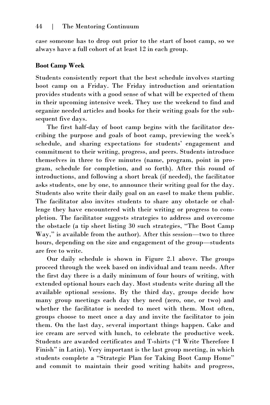case someone has to drop out prior to the start of boot camp, so we always have a full cohort of at least 12 in each group.

#### **Boot Camp Week**

Students consistently report that the best schedule involves starting boot camp on a Friday. The Friday introduction and orientation provides students with a good sense of what will be expected of them in their upcoming intensive week. They use the weekend to find and organize needed articles and books for their writing goals for the subsequent five days.

The first half-day of boot camp begins with the facilitator describing the purpose and goals of boot camp, previewing the week's schedule, and sharing expectations for students' engagement and commitment to their writing, progress, and peers. Students introduce themselves in three to five minutes (name, program, point in program, schedule for completion, and so forth). After this round of introductions, and following a short break (if needed), the facilitator asks students, one by one, to announce their writing goal for the day. Students also write their daily goal on an easel to make them public. The facilitator also invites students to share any obstacle or challenge they have encountered with their writing or progress to completion. The facilitator suggests strategies to address and overcome the obstacle (a tip sheet listing 30 such strategies, "The Boot Camp Way," is available from the author). After this session—two to three hours, depending on the size and engagement of the group—students are free to write.

Our daily schedule is shown in Figure 2.1 above. The groups proceed through the week based on individual and team needs. After the first day there is a daily minimum of four hours of writing, with extended optional hours each day. Most students write during all the available optional sessions. By the third day, groups decide how many group meetings each day they need (zero, one, or two) and whether the facilitator is needed to meet with them. Most often, groups choose to meet once a day and invite the facilitator to join them. On the last day, several important things happen. Cake and ice cream are served with lunch, to celebrate the productive week. Students are awarded certificates and T-shirts ("I Write Therefore I Finish" in Latin). Very important is the last group meeting, in which students complete a "Strategic Plan for Taking Boot Camp Home" and commit to maintain their good writing habits and progress,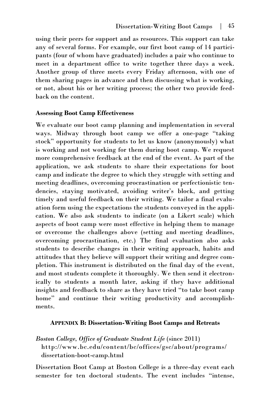using their peers for support and as resources. This support can take any of several forms. For example, our first boot camp of 14 participants (four of whom have graduated) includes a pair who continue to meet in a department office to write together three days a week. Another group of three meets every Friday afternoon, with one of them sharing pages in advance and then discussing what is working, or not, about his or her writing process; the other two provide feedback on the content.

#### **Assessing Boot Camp Effectiveness**

We evaluate our boot camp planning and implementation in several ways. Midway through boot camp we offer a one-page "taking stock" opportunity for students to let us know (anonymously) what is working and not working for them during boot camp. We request more comprehensive feedback at the end of the event. As part of the application, we ask students to share their expectations for boot camp and indicate the degree to which they struggle with setting and meeting deadlines, overcoming procrastination or perfectionistic tendencies, staying motivated, avoiding writer's block, and getting timely and useful feedback on their writing. We tailor a final evaluation form using the expectations the students conveyed in the application. We also ask students to indicate (on a Likert scale) which aspects of boot camp were most effective in helping them to manage or overcome the challenges above (setting and meeting deadlines, overcoming procrastination, etc.) The final evaluation also asks students to describe changes in their writing approach, habits and attitudes that they believe will support their writing and degree completion. This instrument is distributed on the final day of the event, and most students complete it thoroughly. We then send it electronically to students a month later, asking if they have additional insights and feedback to share as they have tried "to take boot camp home" and continue their writing productivity and accomplishments.

#### **APPENDIX B: Dissertation-Writing Boot Camps and Retreats**

*Boston College, Office of Graduate Student Life* (since 2011) [http://www.bc.edu/content/bc/offices/gsc/about/programs/](http://www.bc.edu/content/bc/offices/gsc/about/programs/dissertation-boot-camp.html) [dissertation-boot-camp.html](http://www.bc.edu/content/bc/offices/gsc/about/programs/dissertation-boot-camp.html)

Dissertation Boot Camp at Boston College is a three-day event each semester for ten doctoral students. The event includes "intense,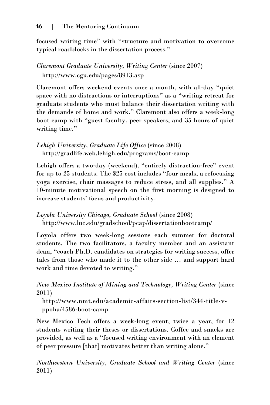focused writing time" with "structure and motivation to overcome typical roadblocks in the dissertation process."

# *Claremont Graduate University, Writing Center (since 2007)* <http://www.cgu.edu/pages/8913.asp>

Claremont offers weekend events once a month, with all-day "quiet space with no distractions or interruptions" as a "writing retreat for graduate students who must balance their dissertation writing with the demands of home and work." Claremont also offers a week-long boot camp with "guest faculty, peer speakers, and 35 hours of quiet writing time."

*Lehigh University, Graduate Life Office* (since 2008) <http://gradlife.web.lehigh.edu/programs/boot-camp>

Lehigh offers a two-day (weekend), "entirely distraction-free" event for up to 25 students. The \$25 cost includes "four meals, a refocusing yoga exercise, chair massages to reduce stress, and all supplies." A 10-minute motivational speech on the first morning is designed to increase students' focus and productivity.

*Loyola University Chicago, Graduate School* (since 2008) <http://www.luc.edu/gradschool/pcap/dissertationbootcamp/>

Loyola offers two week-long sessions each summer for doctoral students. The two facilitators, a faculty member and an assistant dean, "coach Ph.D. candidates on strategies for writing success, offer tales from those who made it to the other side … and support hard work and time devoted to writing."

*New Mexico Institute of Mining and Technology, Writing Center (since* 2011)

[http://www.nmt.edu/academic-affairs-section-list/344-title-v](http://www.nmt.edu/academic-affairs-section-list/344-title-v-ppoha/4586-boot-camp)[ppoha/4586-boot-camp](http://www.nmt.edu/academic-affairs-section-list/344-title-v-ppoha/4586-boot-camp)

New Mexico Tech offers a week-long event, twice a year, for 12 students writing their theses or dissertations. Coffee and snacks are provided, as well as a "focused writing environment with an element of peer pressure [that] motivates better than writing alone."

*Northwestern University, Graduate School and Writing Center (since* 2011)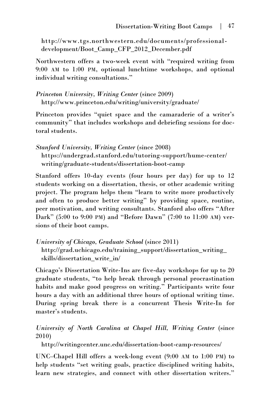[http://www.tgs.northwestern.edu/documents/professional](http://www.tgs.northwestern.edu/documents/professional-development/Boot_Camp_CFP_2012_December.pdf)[development/Boot\\_Camp\\_CFP\\_2012\\_December.pdf](http://www.tgs.northwestern.edu/documents/professional-development/Boot_Camp_CFP_2012_December.pdf)

Northwestern offers a two-week event with "required writing from 9:00 AM to 1:00 PM, optional lunchtime workshops, and optional individual writing consultations."

*Princeton University, Writing Center (since 2009)* <http://www.princeton.edu/writing/university/graduate/>

Princeton provides "quiet space and the camaraderie of a writer's community" that includes workshops and debriefing sessions for doctoral students.

*Stanford University, Writing Center* (since 2008) [https://undergrad.stanford.edu/tutoring-support/hume-center/](https://undergrad.stanford.edu/tutoring-support/hume-center/writing/graduate-students/dissertation-boot-camp) [writing/graduate-students/dissertation-boot-camp](https://undergrad.stanford.edu/tutoring-support/hume-center/writing/graduate-students/dissertation-boot-camp)

Stanford offers 10-day events (four hours per day) for up to 12 students working on a dissertation, thesis, or other academic writing project. The program helps them "learn to write more productively and often to produce better writing" by providing space, routine, peer motivation, and writing consultants. Stanford also offers "After Dark" (5:00 to 9:00 PM) and "Before Dawn" (7:00 to 11:00 AM) versions of their boot camps.

*University of Chicago, Graduate School* (since 2011)

http://grad.uchicago.edu/training\_support/dissertation\_writing\_ skills/dissertation\_write\_in/

Chicago's Dissertation Write-Ins are five-day workshops for up to 20 graduate students, "to help break through personal procrastination habits and make good progress on writing." Participants write four hours a day with an additional three hours of optional writing time. During spring break there is a concurrent Thesis Write-In for master's students.

*University of North Carolina at Chapel Hill, Writing Center (since* 2010)

<http://writingcenter.unc.edu/dissertation-boot-camp-resources/>

UNC–Chapel Hill offers a week-long event (9:00 AM to 1:00 PM) to help students "set writing goals, practice disciplined writing habits, learn new strategies, and connect with other dissertation writers."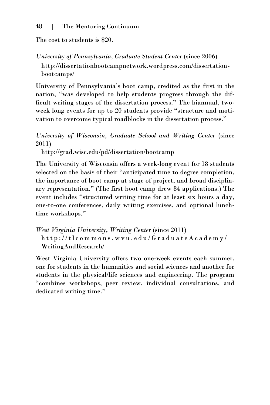The cost to students is \$20.

*University of Pennsylvania, Graduate Student Center (since 2006)* [http://dissertationbootcampnetwork.wordpress.com/dissertation](http://dissertationbootcampnetwork.wordpress.com/dissertation-bootcamps/)[bootcamps/](http://dissertationbootcampnetwork.wordpress.com/dissertation-bootcamps/)

University of Pennsylvania's boot camp, credited as the first in the nation, "was developed to help students progress through the difficult writing stages of the dissertation process." The biannual, twoweek long events for up to 20 students provide "structure and motivation to overcome typical roadblocks in the dissertation process."

*University of Wisconsin, Graduate School and Writing Center (since* 2011)

<http://grad.wisc.edu/pd/dissertation/bootcamp>

The University of Wisconsin offers a week-long event for 18 students selected on the basis of their "anticipated time to degree completion, the importance of boot camp at stage of project, and broad disciplinary representation." (The first boot camp drew 84 applications.) The event includes "structured writing time for at least six hours a day, one-to-one conferences, daily writing exercises, and optional lunchtime workshops."

*West Virginia University, Writing Center* (since 2011) h t t p [: / / t l c o m m o n s . w v u . e d u / G r a d u a t e A c a d e m y /](http://tlcommons.wvu.edu/GraduateAcademy/WritingAndResearch/) [WritingAndResearch/](http://tlcommons.wvu.edu/GraduateAcademy/WritingAndResearch/)

West Virginia University offers two one-week events each summer, one for students in the humanities and social sciences and another for students in the physical/life sciences and engineering. The program "combines workshops, peer review, individual consultations, and dedicated writing time."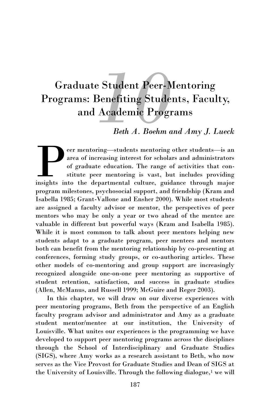# <span id="page-52-0"></span>**Graduate Student Peer-Mentoring** Programs: Benefiting Students, Faculty, and Academic Programs

# *Beth A. Boehm and Amy J. Lueck*

eer mentoring—students mentoring other students—is an area of increasing interest for scholars and administrators of graduate education. The range of activities that constitute peer mentoring is vast, but includes providin eer mentoring—students mentoring other students—is an area of increasing interest for scholars and administrators of graduate education. The range of activities that constitute peer mentoring is vast, but includes providing program milestones, psychosocial support, and friendship (Kram and Isabella 1985; Grant-Vallone and Ensher 2000). While most students are assigned a faculty advisor or mentor, the perspectives of peer mentors who may be only a year or two ahead of the mentee are valuable in different but powerful ways (Kram and Isabella 1985). While it is most common to talk about peer mentors helping new students adapt to a graduate program, peer mentees and mentors both can benefit from the mentoring relationship by co-presenting at conferences, forming study groups, or co-authoring articles. These other models of co-mentoring and group support are increasingly recognized alongside one-on-one peer mentoring as supportive of student retention, satisfaction, and success in graduate studies (Allen, McManus, and Russell 1999; McGuire and Reger 2003).

In this chapter, we will draw on our diverse experiences with peer mentoring programs, Beth from the perspective of an English faculty program advisor and administrator and Amy as a graduate student mentor/mentee at our institution, the University of Louisville. What unites our experiences is the programming we have developed to support peer mentoring programs across the disciplines through the School of Interdisciplinary and Graduate Studies (SIGS), where Amy works as a research assistant to Beth, who now serves as the Vice Provost for Graduate Studies and Dean of SIGS at the University of Louisville. Through the following dialogue, $<sup>1</sup>$  we will</sup>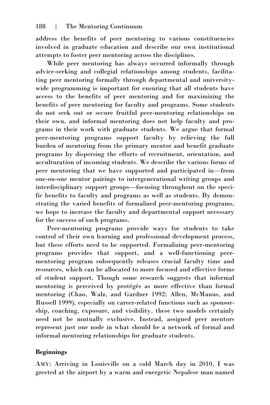address the benefits of peer mentoring to various constituencies involved in graduate education and describe our own institutional attempts to foster peer mentoring across the disciplines.

While peer mentoring has always occurred informally through advice-seeking and collegial relationships among students, facilitating peer mentoring formally through departmental and universitywide programming is important for ensuring that all students have access to the benefits of peer mentoring and for maximizing the benefits of peer mentoring for faculty and programs. Some students do not seek out or secure fruitful peer-mentoring relationships on their own, and informal mentoring does not help faculty and programs in their work with graduate students. We argue that formal peer-mentoring programs support faculty by relieving the full burden of mentoring from the primary mentor and benefit graduate programs by dispersing the efforts of recruitment, orientation, and acculturation of incoming students. We describe the various forms of peer mentoring that we have supported and participated in—from one-on-one mentor pairings to intergenerational writing groups and interdisciplinary support groups—focusing throughout on the specific benefits to faculty and programs as well as students. By demonstrating the varied benefits of formalized peer-mentoring programs, we hope to increase the faculty and departmental support necessary for the success of such programs.

Peer-mentoring programs provide ways for students to take control of their own learning and professional development process, but these efforts need to be supported. Formalizing peer-mentoring programs provides that support, and a well-functioning peermentoring program subsequently releases crucial faculty time and resources, which can be allocated to more focused and effective forms of student support. Though some research suggests that informal mentoring is perceived by protégés as more effective than formal mentoring (Chao, Walz, and Gardner 1992; Allen, McManus, and Russell 1999), especially on career-related functions such as sponsorship, coaching, exposure, and visibility, these two models certainly need not be mutually exclusive. Instead, assigned peer mentors represent just one node in what should be a network of formal and informal mentoring relationships for graduate students.

# **Beginnings**

AMY: Arriving in Louisville on a cold March day in 2010, I was greeted at the airport by a warm and energetic Nepalese man named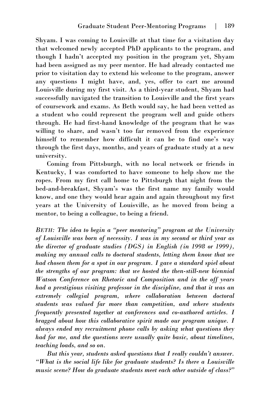Shyam. I was coming to Louisville at that time for a visitation day that welcomed newly accepted PhD applicants to the program, and though I hadn't accepted my position in the program yet, Shyam had been assigned as my peer mentor. He had already contacted me prior to visitation day to extend his welcome to the program, answer any questions I might have, and, yes, offer to cart me around Louisville during my first visit. As a third-year student, Shyam had successfully navigated the transition to Louisville and the first years of coursework and exams. As Beth would say, he had been vetted as a student who could represent the program well and guide others through. He had first-hand knowledge of the program that he was willing to share, and wasn't too far removed from the experience himself to remember how difficult it can be to find one's way through the first days, months, and years of graduate study at a new university.

Coming from Pittsburgh, with no local network or friends in Kentucky, I was comforted to have someone to help show me the ropes. From my first call home to Pittsburgh that night from the bed-and-breakfast, Shyam's was the first name my family would know, and one they would hear again and again throughout my first years at the University of Louisville, as he moved from being a mentor, to being a colleague, to being a friend.

*BETH: The idea to begin a "peer mentoring" program at the University of Louisville was born of necessity. I was in my second or third year as the director of graduate studies (DGS) in English (in 1998 or 1999), making my annual calls to doctoral students, letting them know that we had chosen them for a spot in our program. I gave a standard spiel about the strengths of our program: that we hosted the then-still-new biennial Watson Conference on Rhetoric and Composition and in the off years had a prestigious visiting professor in the discipline, and that it was an extremely collegial program, where collaboration between doctoral students was valued far more than competition, and where students frequently presented together at conferences and co-authored articles. I bragged about how this collaborative spirit made our program unique. I always ended my recruitment phone calls by asking what questions they had for me, and the questions were usually quite basic, about timelines, teaching loads, and so on.* 

*But this year, students asked questions that I really couldn't answer. "What is the social life like for graduate students? Is there a Louisville music scene? How do graduate students meet each other outside of class?"*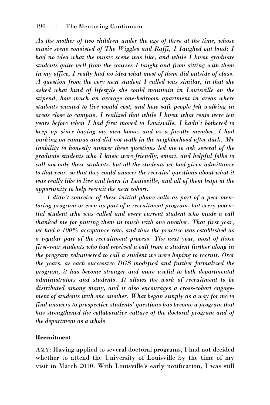*As the mother of two children under the age of three at the time, whose music scene consisted of The Wiggles and Raffi, I Iaughed out loud: I had no idea what the music scene was like, and while I knew graduate students quite well from the courses I taught and from sitting with them in my office, I really had no idea what most of them did outside of class. A question from the very next student I called was similar, in that she asked what kind of lifestyle she could maintain in Louisville on the stipend, how much an average one-bedroom apartment in areas where students wanted to live would cost, and how safe people felt walking in areas close to campus. I realized that while I knew what rents were ten years before when I had first moved to Louisville, I hadn't bothered to keep up since buying my own home, and as a faculty member, I had parking on campus and did not walk in the neighborhood after dark. My inability to honestly answer these questions led me to ask several of the graduate students who I knew were friendly, smart, and helpful folks to call not only these students, but all the students we had given admittance to that year, so that they could answer the recruits' questions about what it was really like to live and learn in Louisville, and all of them leapt at the opportunity to help recruit the next cohort.* 

*I didn't conceive of these initial phone calls as part of a peer mentoring program or even as part of a recruitment program, but every potential student who was called and every current student who made a call thanked me for putting them in touch with one another. That first year, we had a 100% acceptance rate, and thus the practice was established as a regular part of the recruitment process. The next year, most of those first-year students who had received a call from a student further along in the program volunteered to call a student we were hoping to recruit. Over the years, as each successive DGS modified and further formalized the program, it has become stronger and more useful to both departmental administrators and students. It allows the work of recruitment to be distributed among many, and it also encourages a cross-cohort engagement of students with one another. What began simply as a way for me to find answers to prospective students' questions has become a program that has strengthened the collaborative culture of the doctoral program and of the department as a whole.* 

#### **Recruitment**

AMY: Having applied to several doctoral programs, I had not decided whether to attend the University of Louisville by the time of my visit in March 2010. With Louisville's early notification, I was still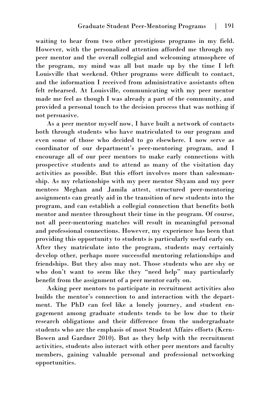waiting to hear from two other prestigious programs in my field. However, with the personalized attention afforded me through my peer mentor and the overall collegial and welcoming atmosphere of the program, my mind was all but made up by the time I left Louisville that weekend. Other programs were difficult to contact, and the information I received from administrative assistants often felt rehearsed. At Louisville, communicating with my peer mentor made me feel as though I was already a part of the community, and provided a personal touch to the decision process that was nothing if not persuasive.

As a peer mentor myself now, I have built a network of contacts both through students who have matriculated to our program and even some of those who decided to go elsewhere. I now serve as coordinator of our department's peer-mentoring program, and I encourage all of our peer mentors to make early connections with prospective students and to attend as many of the visitation day activities as possible. But this effort involves more than salesmanship. As my relationships with my peer mentor Shyam and my peer mentees Meghan and Jamila attest, structured peer-mentoring assignments can greatly aid in the transition of new students into the program, and can establish a collegial connection that benefits both mentor and mentee throughout their time in the program. Of course, not all peer-mentoring matches will result in meaningful personal and professional connections. However, my experience has been that providing this opportunity to students is particularly useful early on. After they matriculate into the program, students may certainly develop other, perhaps more successful mentoring relationships and friendships. But they also may not. Those students who are shy or who don't want to seem like they "need help" may particularly benefit from the assignment of a peer mentor early on.

Asking peer mentors to participate in recruitment activities also builds the mentor's connection to and interaction with the department. The PhD can feel like a lonely journey, and student engagement among graduate students tends to be low due to their research obligations and their difference from the undergraduate students who are the emphasis of most Student Affairs efforts (Kern-Bowen and Gardner 2010). But as they help with the recruitment activities, students also interact with other peer mentors and faculty members, gaining valuable personal and professional networking opportunities.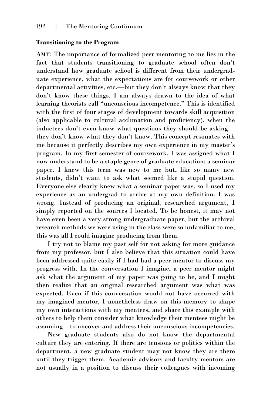#### **Transitioning to the Program**

AMY: The importance of formalized peer mentoring to me lies in the fact that students transitioning to graduate school often don't understand how graduate school is different from their undergraduate experience, what the expectations are for coursework or other departmental activities, etc.—but they don't always know that they don't know these things. I am always drawn to the idea of what learning theorists call "unconscious incompetence." This is identified with the first of four stages of development towards skill acquisition (also applicable to cultural acclimation and proficiency), when the inductees don't even know what questions they should be asking they don't know what they don't know. This concept resonates with me because it perfectly describes my own experience in my master's program. In my first semester of coursework, I was assigned what I now understand to be a staple genre of graduate education: a seminar paper. I knew this term was new to me but, like so many new students, didn't want to ask what seemed like a stupid question. Everyone else clearly knew what a seminar paper was, so I used my experience as an undergrad to arrive at my own definition. I was wrong. Instead of producing an original, researched argument, I simply reported on the sources I located. To be honest, it may not have even been a very strong undergraduate paper, but the archival research methods we were using in the class were so unfamiliar to me, this was all I could imagine producing from them.

I try not to blame my past self for not asking for more guidance from my professor, but I also believe that this situation could have been addressed quite easily if I had had a peer mentor to discuss my progress with. In the conversation I imagine, a peer mentor might ask what the argument of my paper was going to be, and I might then realize that an original researched argument was what was expected. Even if this conversation would not have occurred with my imagined mentor, I nonetheless draw on this memory to shape my own interactions with my mentees, and share this example with others to help them consider what knowledge their mentees might be assuming—to uncover and address their unconscious incompetencies.

New graduate students also do not know the departmental culture they are entering. If there are tensions or politics within the department, a new graduate student may not know they are there until they trigger them. Academic advisors and faculty mentors are not usually in a position to discuss their colleagues with incoming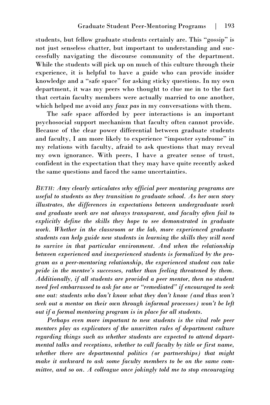students, but fellow graduate students certainly are. This "gossip" is not just senseless chatter, but important to understanding and successfully navigating the discourse community of the department. While the students will pick up on much of this culture through their experience, it is helpful to have a guide who can provide insider knowledge and a "safe space" for asking sticky questions. In my own department, it was my peers who thought to clue me in to the fact that certain faculty members were actually married to one another, which helped me avoid any *faux pas* in my conversations with them.

The safe space afforded by peer interactions is an important psychosocial support mechanism that faculty often cannot provide. Because of the clear power differential between graduate students and faculty, I am more likely to experience "imposter syndrome" in my relations with faculty, afraid to ask questions that may reveal my own ignorance. With peers, I have a greater sense of trust, confident in the expectation that they may have quite recently asked the same questions and faced the same uncertainties.

*BETH: Amy clearly articulates why official peer mentoring programs are useful to students as they transition to graduate school. As her own story illustrates, the differences in expectations between undergraduate work and graduate work are not always transparent, and faculty often fail to explicitly define the skills they hope to see demonstrated in graduate work. Whether in the classroom or the lab, more experienced graduate students can help guide new students in learning the skills they will need to survive in that particular environment. And when the relationship between experienced and inexperienced students is formalized by the program as a peer-mentoring relationship, the experienced student can take pride in the mentee's successes, rather than feeling threatened by them. Additionally, if all students are provided a peer mentor, then no student need feel embarrassed to ask for one or "remediated" if encouraged to seek one out: students who don't know what they don't know (and thus won't seek out a mentor on their own through informal processes) won't be left out if a formal mentoring program is in place for all students.* 

*Perhaps even more important to new students is the vital role peer mentors play as explicators of the unwritten rules of department culture regarding things such as whether students are expected to attend departmental talks and receptions, whether to call faculty by title or first name, whether there are departmental politics (or partnerships) that might make it awkward to ask some faculty members to be on the same committee, and so on. A colleague once jokingly told me to stop encouraging*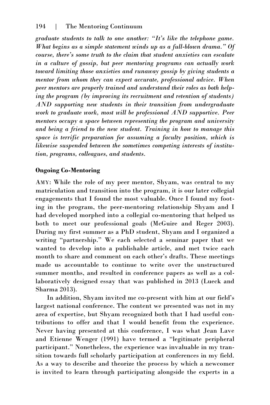*graduate students to talk to one another: "It's like the telephone game. What begins as a simple statement winds up as a full-blown drama." Of course, there's some truth to the claim that student anxieties can escalate in a culture of gossip, but peer mentoring programs can actually work toward limiting those anxieties and runaway gossip by giving students a mentor from whom they can expect accurate, professional advice. When peer mentors are properly trained and understand their roles as both helping the program (by improving its recruitment and retention of students) AND supporting new students in their transition from undergraduate work to graduate work, most will be professional AND supportive. Peer mentors occupy a space between representing the program and university and being a friend to the new student. Training in how to manage this space is terrific preparation for assuming a faculty position, which is likewise suspended between the sometimes competing interests of institution, programs, colleagues, and students.* 

# **Ongoing Co-Mentoring**

AMY: While the role of my peer mentor, Shyam, was central to my matriculation and transition into the program, it is our later collegial engagements that I found the most valuable. Once I found my footing in the program, the peer-mentoring relationship Shyam and I had developed morphed into a collegial co-mentoring that helped us both to meet our professional goals (McGuire and Reger 2003). During my first summer as a PhD student, Shyam and I organized a writing "partnership." We each selected a seminar paper that we wanted to develop into a publishable article, and met twice each month to share and comment on each other's drafts. These meetings made us accountable to continue to write over the unstructured summer months, and resulted in conference papers as well as a collaboratively designed essay that was published in 2013 (Lueck and Sharma 2013).

In addition, Shyam invited me co-present with him at our field's largest national conference. The content we presented was not in my area of expertise, but Shyam recognized both that I had useful contributions to offer and that I would benefit from the experience. Never having presented at this conference, I was what Jean Lave and Etienne Wenger (1991) have termed a "legitimate peripheral participant." Nonetheless, the experience was invaluable in my transition towards full scholarly participation at conferences in my field. As a way to describe and theorize the process by which a newcomer is invited to learn through participating alongside the experts in a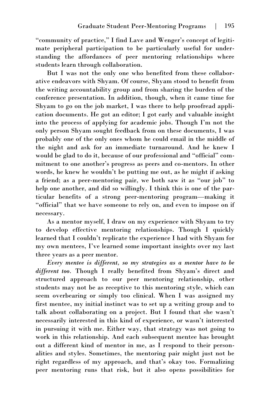"community of practice," I find Lave and Wenger's concept of legitimate peripheral participation to be particularly useful for understanding the affordances of peer mentoring relationships where students learn through collaboration.

But I was not the only one who benefited from these collaborative endeavors with Shyam. Of course, Shyam stood to benefit from the writing accountability group and from sharing the burden of the conference presentation. In addition, though, when it came time for Shyam to go on the job market, I was there to help proofread application documents. He got an editor; I got early and valuable insight into the process of applying for academic jobs. Though I'm not the only person Shyam sought feedback from on these documents, I was probably one of the only ones whom he could email in the middle of the night and ask for an immediate turnaround. And he knew I would be glad to do it, because of our professional and "official" commitment to one another's progress as peers and co-mentors. In other words, he knew he wouldn't be putting me out, as he might if asking a friend; as a peer-mentoring pair, we both saw it as "our job" to help one another, and did so willingly. I think this is one of the particular benefits of a strong peer-mentoring program—making it "official" that we have someone to rely on, and even to impose on if necessary.

As a mentor myself, I draw on my experience with Shyam to try to develop effective mentoring relationships. Though I quickly learned that I couldn't replicate the experience I had with Shyam for my own mentees, I've learned some important insights over my last three years as a peer mentor.

*Every mentee is different, so my strategies as a mentor have to be different too.* Though I really benefited from Shyam's direct and structured approach to our peer mentoring relationship, other students may not be as receptive to this mentoring style, which can seem overbearing or simply too clinical. When I was assigned my first mentee, my initial instinct was to set up a writing group and to talk about collaborating on a project. But I found that she wasn't necessarily interested in this kind of experience, or wasn't interested in pursuing it with me. Either way, that strategy was not going to work in this relationship. And each subsequent mentee has brought out a different kind of mentor in me, as I respond to their personalities and styles. Sometimes, the mentoring pair might just not be right regardless of my approach, and that's okay too. Formalizing peer mentoring runs that risk, but it also opens possibilities for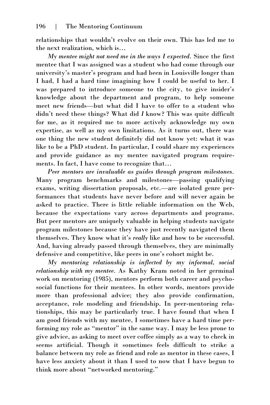relationships that wouldn't evolve on their own. This has led me to the next realization, which is…

*My mentee might not need me in the ways I expected.* Since the first mentee that I was assigned was a student who had come through our university's master's program and had been in Louisville longer than I had, I had a hard time imagining how I could be useful to her. I was prepared to introduce someone to the city, to give insider's knowledge about the department and program, to help someone meet new friends—but what did I have to offer to a student who didn't need these things? What did *I* know? This was quite difficult for me, as it required me to more actively acknowledge my own expertise, as well as my own limitations. As it turns out, there was one thing the new student definitely did not know yet: what it was like to be a PhD student. In particular, I could share my experiences and provide guidance as my mentee navigated program requirements. In fact, I have come to recognize that…

*Peer mentors are invaluable as guides through program milestones.*  Many program benchmarks and milestones—passing qualifying exams, writing dissertation proposals, etc.—are isolated genre performances that students have never before and will never again be asked to practice. There is little reliable information on the Web, because the expectations vary across departments and programs. But peer mentors are uniquely valuable in helping students navigate program milestones because they have just recently navigated them themselves. They know what it's *really* like and how to be successful. And, having already passed through themselves, they are minimally defensive and competitive, like peers in one's cohort might be.

*My mentoring relationship is inflected by my informal, social relationship with my mentee.* As Kathy Kram noted in her germinal work on mentoring (1985), mentors perform both career and psychosocial functions for their mentees. In other words, mentors provide more than professional advice; they also provide confirmation, acceptance, role modeling and friendship. In peer-mentoring relationships, this may be particularly true. I have found that when I am good friends with my mentee, I sometimes have a hard time performing my role as "mentor" in the same way. I may be less prone to give advice, as asking to meet over coffee simply as a way to check in seems artificial. Though it sometimes feels difficult to strike a balance between my role as friend and role as mentor in these cases, I have less anxiety about it than I used to now that I have begun to think more about "networked mentoring."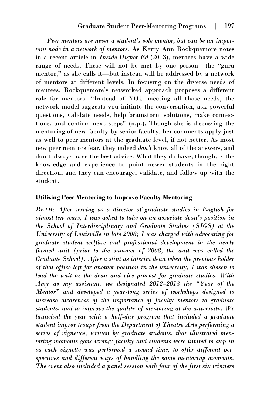*Peer mentors are never a student's sole mentor, but can be an important node in a network of mentors.* As Kerry Ann Rockquemore notes in a recent article in *Inside Higher Ed* (2013), mentees have a wide range of needs. These will not be met by one person—the "guru mentor," as she calls it—but instead will be addressed by a network of mentors at different levels. In focusing on the diverse needs of mentees, Rockquemore's networked approach proposes a different role for mentors: "Instead of YOU meeting all those needs, the network model suggests you initiate the conversation, ask powerful questions, validate needs, help brainstorm solutions, make connections, and confirm next steps" (n.p.). Though she is discussing the mentoring of new faculty by senior faculty, her comments apply just as well to peer mentors at the graduate level, if not better. As most new peer mentors fear, they indeed *don't* know all of the answers, and don't always have the best advice. What they do have, though, is the knowledge and experience to point newer students in the right direction, and they can encourage, validate, and follow up with the student.

#### **Utilizing Peer Mentoring to Improve Faculty Mentoring**

*BETH: After serving as a director of graduate studies in English for almost ten years, I was asked to take on an associate dean's position in the School of Interdisciplinary and Graduate Studies (SIGS) at the University of Louisville in late 2008; I was charged with advocating for graduate student welfare and professional development in the newly formed unit (prior to the summer of 2008, the unit was called the Graduate School). After a stint as interim dean when the previous holder of that office left for another position in the university, I was chosen to lead the unit as the dean and vice provost for graduate studies. With Amy as my assistant, we designated 2012–2013 the "Year of the Mentor" and developed a year-long series of workshops designed to increase awareness of the importance of faculty mentors to graduate students, and to improve the quality of mentoring at the university. We launched the year with a half-day program that included a graduate student improv troupe from the Department of Theatre Arts performing a series of vignettes, written by graduate students, that illustrated mentoring moments gone wrong; faculty and students were invited to step in as each vignette was performed a second time, to offer different perspectives and different ways of handling the same mentoring moments. The event also included a panel session with four of the first six winners*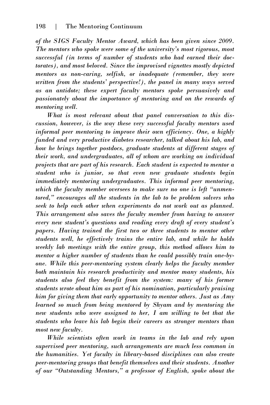*of the SIGS Faculty Mentor Award, which has been given since 2009. The mentors who spoke were some of the university's most rigorous, most successful (in terms of number of students who had earned their doctorates), and most beloved. Since the improvised vignettes mostly depicted mentors as non-caring, selfish, or inadequate (remember, they were written from the students' perspective!), the panel in many ways served as an antidote; these expert faculty mentors spoke persuasively and passionately about the importance of mentoring and on the rewards of mentoring well.* 

*What is most relevant about that panel conversation to this discussion, however, is the way these very successful faculty mentors used informal peer mentoring to improve their own efficiency. One, a highly funded and very productive diabetes researcher, talked about his lab, and how he brings together postdocs, graduate students at different stages of their work, and undergraduates, all of whom are working on individual projects that are part of his research. Each student is expected to mentor a student who is junior, so that even new graduate students begin immediately mentoring undergraduates. This informal peer mentoring, which the faculty member oversees to make sure no one is left "unmentored," encourages all the students in the lab to be problem solvers who seek to help each other when experiments do not work out as planned. This arrangement also saves the faculty member from having to answer every new student's questions and reading every draft of every student's papers. Having trained the first two or three students to mentor other students well, he effectively trains the entire lab, and while he holds weekly lab meetings with the entire group, this method allows him to mentor a higher number of students than he could possibly train one-byone. While this peer-mentoring system clearly helps the faculty member both maintain his research productivity and mentor many students, his students also feel they benefit from the system: many of his former students wrote about him as part of his nomination, particularly praising him for giving them that early opportunity to mentor others. Just as Amy learned so much from being mentored by Shyam and by mentoring the new students who were assigned to her, I am willing to bet that the students who leave his lab begin their careers as stronger mentors than most new faculty.* 

*While scientists often work in teams in the lab and rely upon supervised peer mentoring, such arrangements are much less common in the humanities. Yet faculty in library-based disciplines can also create peer-mentoring groups that benefit themselves and their students. Another of our "Outstanding Mentors," a professor of English, spoke about the*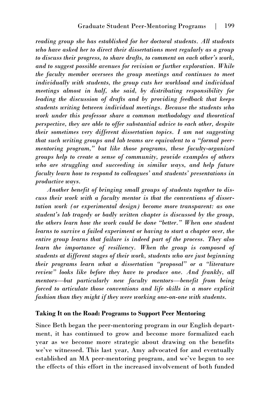*reading group she has established for her doctoral students. All students who have asked her to direct their dissertations meet regularly as a group to discuss their progress, to share drafts, to comment on each other's work, and to suggest possible avenues for revision or further exploration. While the faculty member oversees the group meetings and continues to meet individually with students, the group cuts her workload and individual meetings almost in half, she said, by distributing responsibility for leading the discussion of drafts and by providing feedback that keeps students writing between individual meetings. Because the students who work under this professor share a common methodology and theoretical perspective, they are able to offer substantial advice to each other, despite their sometimes very different dissertation topics. I am not suggesting that such writing groups and lab teams are equivalent to a "formal peermentoring program," but like those programs, these faculty-organized groups help to create a sense of community, provide examples of others*  who are struggling and succeeding in similar ways, and help future *faculty learn how to respond to colleagues' and students' presentations in productive ways.* 

*Another benefit of bringing small groups of students together to discuss their work with a faculty mentor is that the conventions of dissertation work (or experimental design) become more transparent: as one student's lab tragedy or badly written chapter is discussed by the group, the others learn how the work could be done "better." When one student learns to survive a failed experiment or having to start a chapter over, the entire group learns that failure is indeed part of the process. They also learn the importance of resiliency. When the group is composed of students at different stages of their work, students who are just beginning their programs learn what a dissertation "proposal" or a "literature review" looks like before they have to produce one. And frankly, all mentors—but particularly new faculty mentors—benefit from being forced to articulate those conventions and life skills in a more explicit fashion than they might if they were working one-on-one with students.* 

#### **Taking It on the Road: Programs to Support Peer Mentoring**

Since Beth began the peer-mentoring program in our English department, it has continued to grow and become more formalized each year as we become more strategic about drawing on the benefits we've witnessed. This last year, Amy advocated for and eventually established an MA peer-mentoring program, and we've begun to see the effects of this effort in the increased involvement of both funded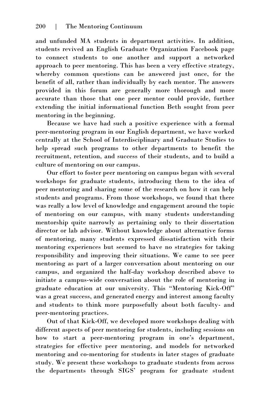and unfunded MA students in department activities. In addition, students revived an English Graduate Organization Facebook page to connect students to one another and support a networked approach to peer mentoring. This has been a very effective strategy, whereby common questions can be answered just once, for the benefit of all, rather than individually by each mentor. The answers provided in this forum are generally more thorough and more accurate than those that one peer mentor could provide, further extending the initial informational function Beth sought from peer mentoring in the beginning.

Because we have had such a positive experience with a formal peer-mentoring program in our English department, we have worked centrally at the School of Interdisciplinary and Graduate Studies to help spread such programs to other departments to benefit the recruitment, retention, and success of their students, and to build a culture of mentoring on our campus.

Our effort to foster peer mentoring on campus began with several workshops for graduate students, introducing them to the idea of peer mentoring and sharing some of the research on how it can help students and programs. From those workshops, we found that there was really a low level of knowledge and engagement around the topic of mentoring on our campus, with many students understanding mentorship quite narrowly as pertaining only to their dissertation director or lab advisor. Without knowledge about alternative forms of mentoring, many students expressed dissatisfaction with their mentoring experiences but seemed to have no strategies for taking responsibility and improving their situations. We came to see peer mentoring as part of a larger conversation about mentoring on our campus, and organized the half-day workshop described above to initiate a campus-wide conversation about the role of mentoring in graduate education at our university. This "Mentoring Kick-Off" was a great success, and generated energy and interest among faculty and students to think more purposefully about both faculty- and peer-mentoring practices.

Out of that Kick-Off, we developed more workshops dealing with different aspects of peer mentoring for students, including sessions on how to start a peer-mentoring program in one's department, strategies for effective peer mentoring, and models for networked mentoring and co-mentoring for students in later stages of graduate study. We present these workshops to graduate students from across the departments through SIGS' program for graduate student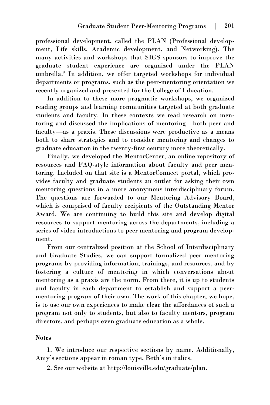professional development, called the PLAN (Professional development, Life skills, Academic development, and Networking). The many activities and workshops that SIGS sponsors to improve the graduate student experience are organized under the PLAN umbrella.<sup>2</sup> In addition, we offer targeted workshops for individual departments or programs, such as the peer-mentoring orientation we recently organized and presented for the College of Education.

In addition to these more pragmatic workshops, we organized reading groups and learning communities targeted at both graduate students and faculty. In these contexts we read research on mentoring and discussed the implications of mentoring—both peer and faculty—as a praxis. These discussions were productive as a means both to share strategies and to consider mentoring and changes to graduate education in the twenty-first century more theoretically.

Finally, we developed the MentorCenter, an online repository of resources and FAQ-style information about faculty and peer mentoring. Included on that site is a MentorConnect portal, which provides faculty and graduate students an outlet for asking their own mentoring questions in a more anonymous interdisciplinary forum. The questions are forwarded to our Mentoring Advisory Board, which is comprised of faculty recipients of the Outstanding Mentor Award. We are continuing to build this site and develop digital resources to support mentoring across the departments, including a series of video introductions to peer mentoring and program development.

From our centralized position at the School of Interdisciplinary and Graduate Studies, we can support formalized peer mentoring programs by providing information, trainings, and resources, and by fostering a culture of mentoring in which conversations about mentoring as a praxis are the norm. From there, it is up to students and faculty in each department to establish and support a peermentoring program of their own. The work of this chapter, we hope, is to use our own experiences to make clear the affordances of such a program not only to students, but also to faculty mentors, program directors, and perhaps even graduate education as a whole.

#### **Notes**

1. We introduce our respective sections by name. Additionally, Amy's sections appear in roman type, Beth's in italics.

2. See our website at http://louisville.edu/graduate/plan.